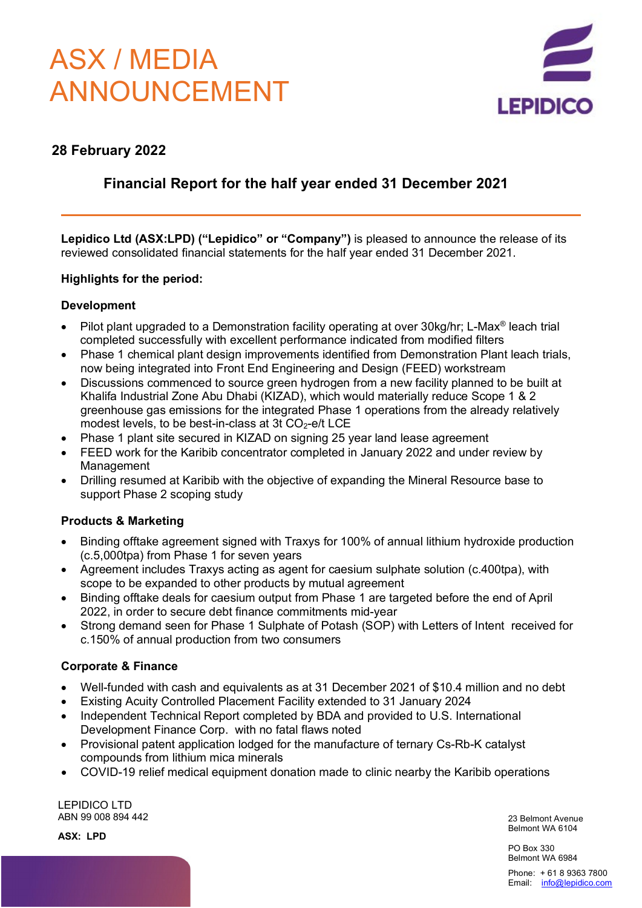# ASX / MEDIA ANNOUNCEMENT



# **28 February 2022**

# **Financial Report for the half year ended 31 December 2021**

**Lepidico Ltd (ASX:LPD) ("Lepidico" or "Company")** is pleased to announce the release of its reviewed consolidated financial statements for the half year ended 31 December 2021.

# **Highlights for the period:**

# **Development**

- Pilot plant upgraded to a Demonstration facility operating at over 30kg/hr; L-Max<sup>®</sup> leach trial completed successfully with excellent performance indicated from modified filters
- Phase 1 chemical plant design improvements identified from Demonstration Plant leach trials, now being integrated into Front End Engineering and Design (FEED) workstream
- Discussions commenced to source green hydrogen from a new facility planned to be built at Khalifa Industrial Zone Abu Dhabi (KIZAD), which would materially reduce Scope 1 & 2 greenhouse gas emissions for the integrated Phase 1 operations from the already relatively modest levels, to be best-in-class at 3t  $CO<sub>2</sub>$ -e/t LCE
- Phase 1 plant site secured in KIZAD on signing 25 year land lease agreement
- FEED work for the Karibib concentrator completed in January 2022 and under review by Management
- Drilling resumed at Karibib with the objective of expanding the Mineral Resource base to support Phase 2 scoping study

# **Products & Marketing**

- Binding offtake agreement signed with Traxys for 100% of annual lithium hydroxide production (c.5,000tpa) from Phase 1 for seven years
- Agreement includes Traxys acting as agent for caesium sulphate solution (c.400tpa), with scope to be expanded to other products by mutual agreement
- Binding offtake deals for caesium output from Phase 1 are targeted before the end of April 2022, in order to secure debt finance commitments mid-year
- Strong demand seen for Phase 1 Sulphate of Potash (SOP) with Letters of Intent received for c.150% of annual production from two consumers

# **Corporate & Finance**

- Well-funded with cash and equivalents as at 31 December 2021 of \$10.4 million and no debt
- Existing Acuity Controlled Placement Facility extended to 31 January 2024
- Independent Technical Report completed by BDA and provided to U.S. International Development Finance Corp. with no fatal flaws noted
- Provisional patent application lodged for the manufacture of ternary Cs-Rb-K catalyst compounds from lithium mica minerals
- COVID-19 relief medical equipment donation made to clinic nearby the Karibib operations

LEPIDICO LTD ABN 99 008 894 442

**ASX: LPD**

23 Belmont Avenue Belmont WA 6104

PO Box 330 Belmont WA 6984

Phone: + 61 8 9363 7800 Email: [info@lepidico.com](mailto:info@lepidico.com)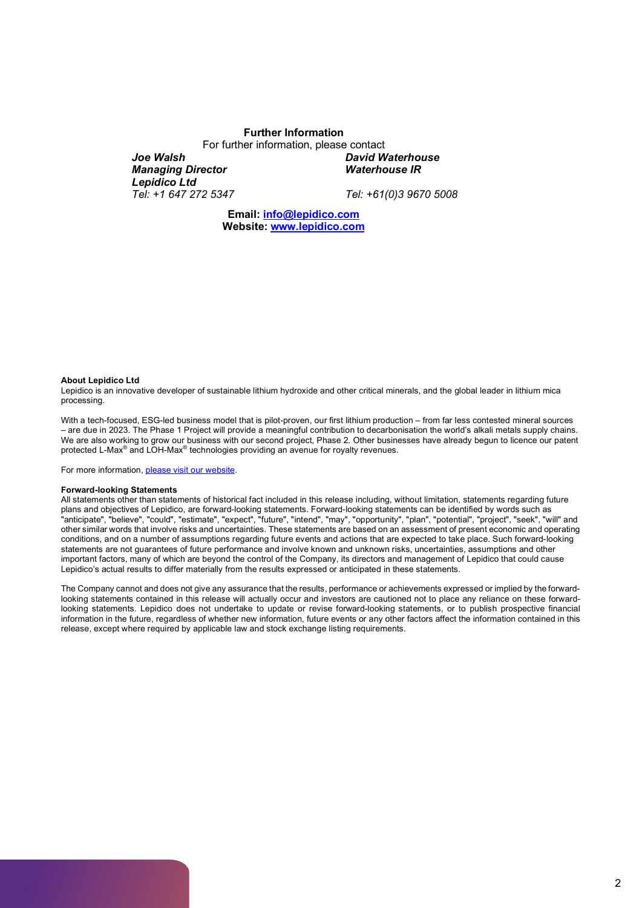#### **Further Information**

For further information, please contact *Joe Walsh Managing Director David Waterhouse Waterhouse IR*

*Lepidico Ltd Tel: +1 647 272 5347*

*Tel: +61(0)3 9670 5008*

**Email: [info@lepidico.com](mailto:info@lepidico.com) Website: [www.lepidico.com](http://www.lepidico.com/)**

#### **About Lepidico Ltd**

Lepidico is an innovative developer of sustainable lithium hydroxide and other critical minerals, and the global leader in lithium mica processing.

With a tech-focused, ESG-led business model that is pilot-proven, our first lithium production – from far less contested mineral sources – are due in 2023. The Phase 1 Project will provide a meaningful contribution to decarbonisation the world's alkali metals supply chains. We are also working to grow our business with our second project, Phase 2. Other businesses have already begun to licence our patent protected L-Max® and LOH-Max® technologies providing an avenue for royalty revenues.

For more information, [please visit our website.](https://www.lepidico.com/)

#### **Forward-looking Statements**

All statements other than statements of historical fact included in this release including, without limitation, statements regarding future plans and objectives of Lepidico, are forward-looking statements. Forward-looking statements can be identified by words such as "anticipate", "believe", "could", "estimate", "expect", "future", "intend", "may", "opportunity", "plan", "potential", "project", "seek", "will" and other similar words that involve risks and uncertainties. These statements are based on an assessment of present economic and operating conditions, and on a number of assumptions regarding future events and actions that are expected to take place. Such forward-looking statements are not guarantees of future performance and involve known and unknown risks, uncertainties, assumptions and other important factors, many of which are beyond the control of the Company, its directors and management of Lepidico that could cause Lepidico's actual results to differ materially from the results expressed or anticipated in these statements.

The Company cannot and does not give any assurance that the results, performance or achievements expressed or implied by the forwardlooking statements contained in this release will actually occur and investors are cautioned not to place any reliance on these forwardlooking statements. Lepidico does not undertake to update or revise forward-looking statements, or to publish prospective financial information in the future, regardless of whether new information, future events or any other factors affect the information contained in this release, except where required by applicable law and stock exchange listing requirements.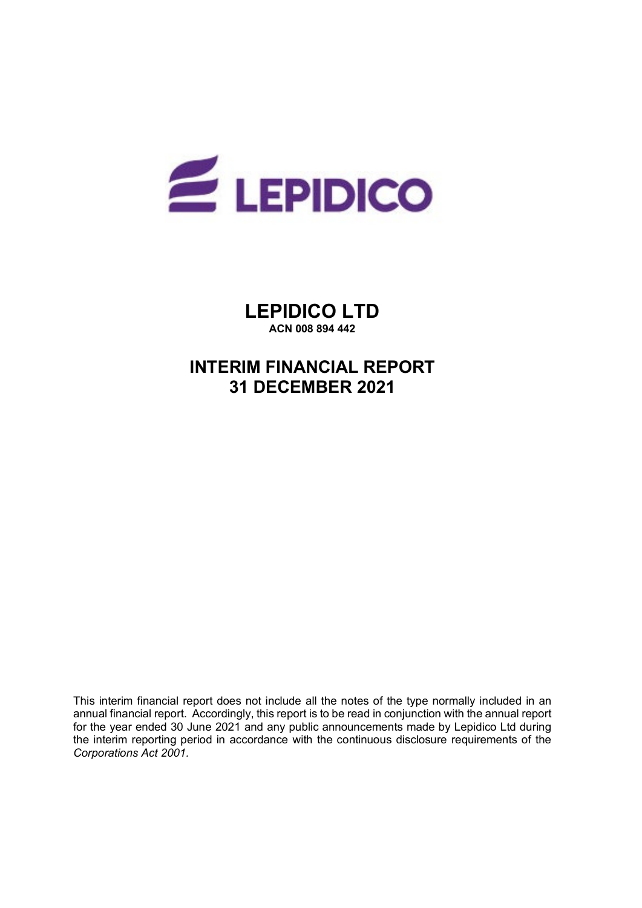

**LEPIDICO LTD ACN 008 894 442**

# **INTERIM FINANCIAL REPORT 31 DECEMBER 2021**

This interim financial report does not include all the notes of the type normally included in an annual financial report. Accordingly, this report is to be read in conjunction with the annual report for the year ended 30 June 2021 and any public announcements made by Lepidico Ltd during the interim reporting period in accordance with the continuous disclosure requirements of the *Corporations Act 2001.*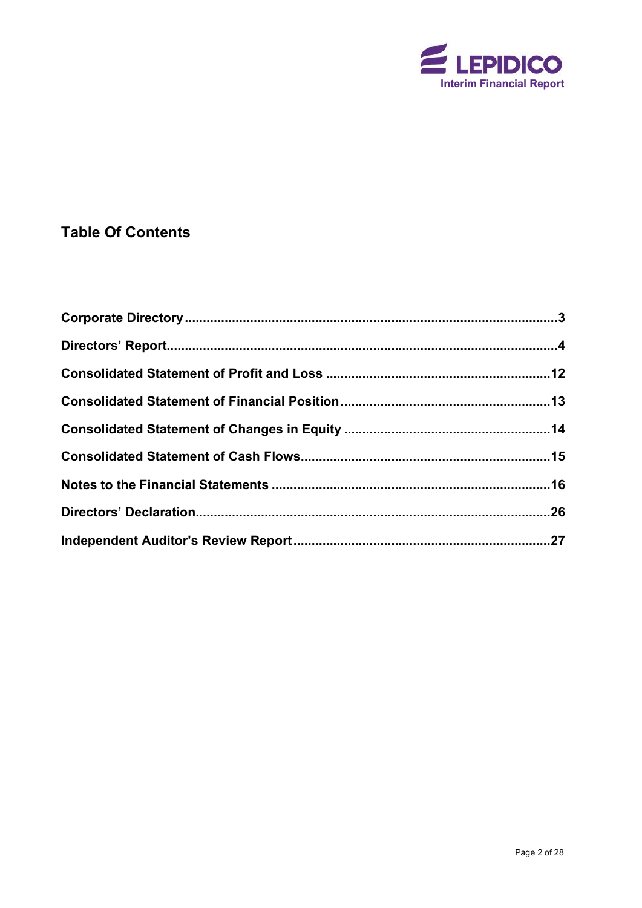

# **Table Of Contents**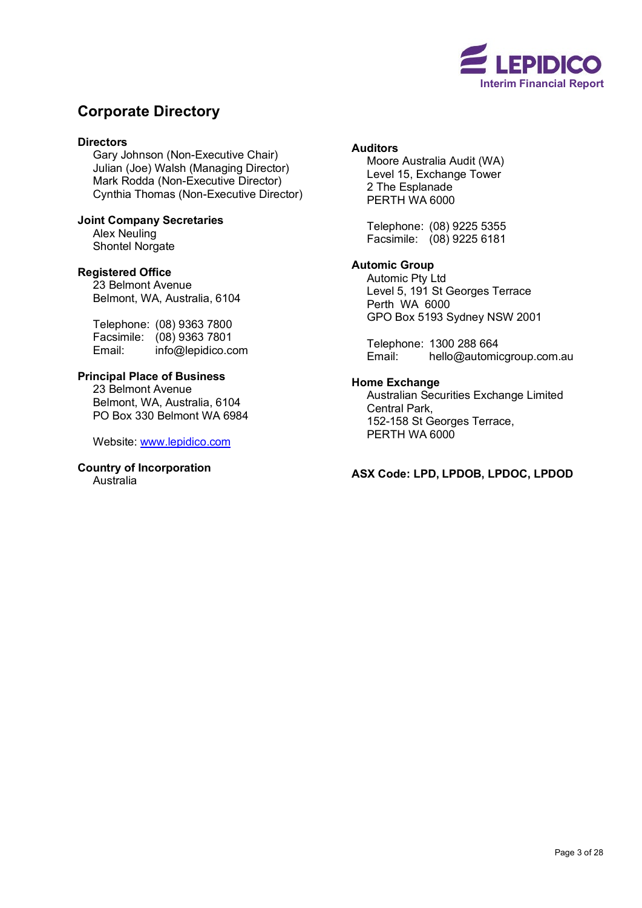

# <span id="page-4-0"></span>**Corporate Directory**

## **Directors**

Gary Johnson (Non-Executive Chair) Julian (Joe) Walsh (Managing Director) Mark Rodda (Non-Executive Director) Cynthia Thomas (Non-Executive Director)

**Joint Company Secretaries** Alex Neuling Shontel Norgate

### **Registered Office**

23 Belmont Avenue Belmont, WA, Australia, 6104

Telephone: (08) 9363 7800 Facsimile: (08) 9363 7801<br>Email: info@lepidico.co info@lepidico.com

# **Principal Place of Business**

23 Belmont Avenue Belmont, WA, Australia, 6104 PO Box 330 Belmont WA 6984

Website: [www.lepidico.com](http://www.lepidico.com/)

# **Country of Incorporation**

Australia

## **Auditors**

Moore Australia Audit (WA) Level 15, Exchange Tower 2 The Esplanade PERTH WA 6000

Telephone: (08) 9225 5355 Facsimile: (08) 9225 6181

# **Automic Group**

Automic Pty Ltd Level 5, 191 St Georges Terrace Perth WA 6000 GPO Box 5193 Sydney NSW 2001

Telephone: 1300 288 664 Email: [hello@automicgroup.com.au](mailto:hello@automicgroup.com.au)

#### **Home Exchange**

Australian Securities Exchange Limited Central Park, 152-158 St Georges Terrace, PERTH WA 6000

**ASX Code: LPD, LPDOB, LPDOC, LPDOD**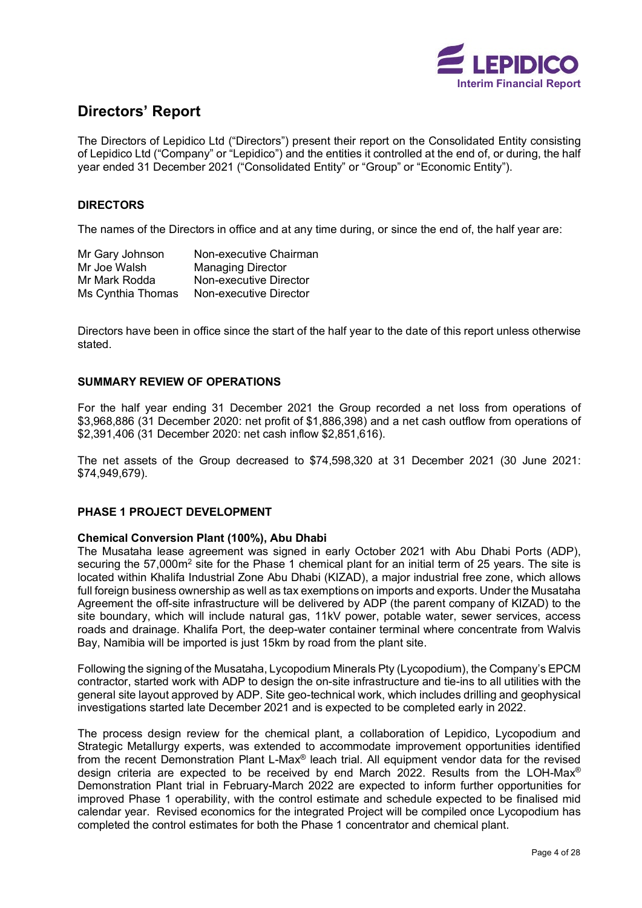

# <span id="page-5-0"></span>**Directors' Report**

The Directors of Lepidico Ltd ("Directors") present their report on the Consolidated Entity consisting of Lepidico Ltd ("Company" or "Lepidico") and the entities it controlled at the end of, or during, the half year ended 31 December 2021 ("Consolidated Entity" or "Group" or "Economic Entity").

# **DIRECTORS**

The names of the Directors in office and at any time during, or since the end of, the half year are:

| Mr Gary Johnson   | Non-executive Chairman   |
|-------------------|--------------------------|
| Mr Joe Walsh      | <b>Managing Director</b> |
| Mr Mark Rodda     | Non-executive Director   |
| Ms Cynthia Thomas | Non-executive Director   |

Directors have been in office since the start of the half year to the date of this report unless otherwise stated.

### **SUMMARY REVIEW OF OPERATIONS**

For the half year ending 31 December 2021 the Group recorded a net loss from operations of \$3,968,886 (31 December 2020: net profit of \$1,886,398) and a net cash outflow from operations of \$2,391,406 (31 December 2020: net cash inflow \$2,851,616).

The net assets of the Group decreased to \$74,598,320 at 31 December 2021 (30 June 2021: \$74,949,679).

### **PHASE 1 PROJECT DEVELOPMENT**

### **Chemical Conversion Plant (100%), Abu Dhabi**

The Musataha lease agreement was signed in early October 2021 with Abu Dhabi Ports (ADP), securing the 57,000m<sup>2</sup> site for the Phase 1 chemical plant for an initial term of 25 years. The site is located within Khalifa Industrial Zone Abu Dhabi (KIZAD), a major industrial free zone, which allows full foreign business ownership as well as tax exemptions on imports and exports. Under the Musataha Agreement the off-site infrastructure will be delivered by ADP (the parent company of KIZAD) to the site boundary, which will include natural gas, 11kV power, potable water, sewer services, access roads and drainage. Khalifa Port, the deep-water container terminal where concentrate from Walvis Bay, Namibia will be imported is just 15km by road from the plant site.

Following the signing of the Musataha, Lycopodium Minerals Pty (Lycopodium), the Company's EPCM contractor, started work with ADP to design the on-site infrastructure and tie-ins to all utilities with the general site layout approved by ADP. Site geo-technical work, which includes drilling and geophysical investigations started late December 2021 and is expected to be completed early in 2022.

The process design review for the chemical plant, a collaboration of Lepidico, Lycopodium and Strategic Metallurgy experts, was extended to accommodate improvement opportunities identified from the recent Demonstration Plant L-Max® leach trial. All equipment vendor data for the revised design criteria are expected to be received by end March 2022. Results from the LOH-Max® Demonstration Plant trial in February-March 2022 are expected to inform further opportunities for improved Phase 1 operability, with the control estimate and schedule expected to be finalised mid calendar year. Revised economics for the integrated Project will be compiled once Lycopodium has completed the control estimates for both the Phase 1 concentrator and chemical plant.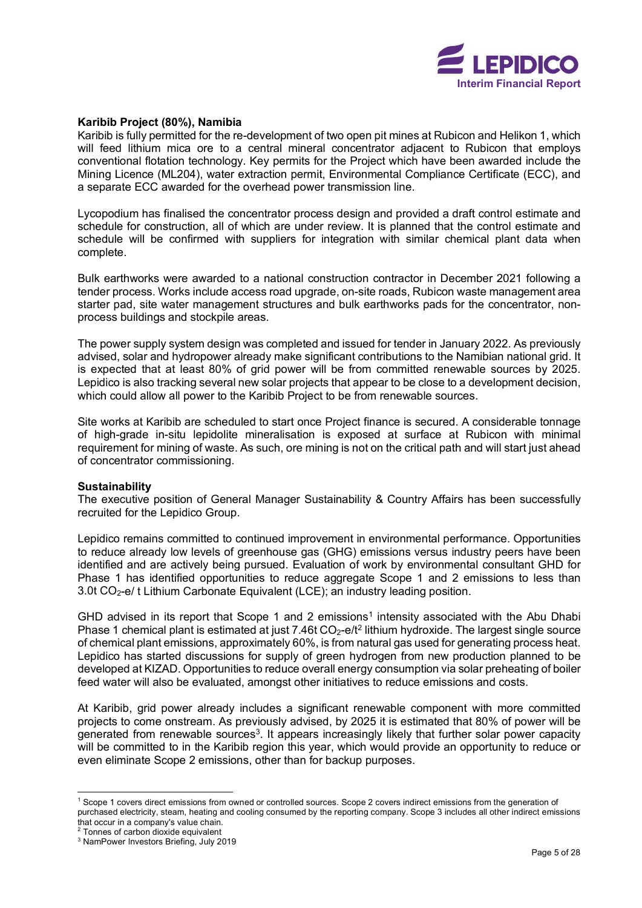

#### **Karibib Project (80%), Namibia**

Karibib is fully permitted for the re-development of two open pit mines at Rubicon and Helikon 1, which will feed lithium mica ore to a central mineral concentrator adjacent to Rubicon that employs conventional flotation technology. Key permits for the Project which have been awarded include the Mining Licence (ML204), water extraction permit, Environmental Compliance Certificate (ECC), and a separate ECC awarded for the overhead power transmission line.

Lycopodium has finalised the concentrator process design and provided a draft control estimate and schedule for construction, all of which are under review. It is planned that the control estimate and schedule will be confirmed with suppliers for integration with similar chemical plant data when complete.

Bulk earthworks were awarded to a national construction contractor in December 2021 following a tender process. Works include access road upgrade, on-site roads, Rubicon waste management area starter pad, site water management structures and bulk earthworks pads for the concentrator, nonprocess buildings and stockpile areas.

The power supply system design was completed and issued for tender in January 2022. As previously advised, solar and hydropower already make significant contributions to the Namibian national grid. It is expected that at least 80% of grid power will be from committed renewable sources by 2025. Lepidico is also tracking several new solar projects that appear to be close to a development decision, which could allow all power to the Karibib Project to be from renewable sources.

Site works at Karibib are scheduled to start once Project finance is secured. A considerable tonnage of high-grade in-situ lepidolite mineralisation is exposed at surface at Rubicon with minimal requirement for mining of waste. As such, ore mining is not on the critical path and will start just ahead of concentrator commissioning.

#### **Sustainability**

The executive position of General Manager Sustainability & Country Affairs has been successfully recruited for the Lepidico Group.

Lepidico remains committed to continued improvement in environmental performance. Opportunities to reduce already low levels of greenhouse gas (GHG) emissions versus industry peers have been identified and are actively being pursued. Evaluation of work by environmental consultant GHD for Phase 1 has identified opportunities to reduce aggregate Scope 1 and 2 emissions to less than 3.0t CO<sub>2</sub>-e/ t Lithium Carbonate Equivalent (LCE); an industry leading position.

GHD advised in its report that Scope [1](#page-6-0) and 2 emissions<sup>1</sup> intensity associated with the Abu Dhabi Phase 1 chemical plant is estimated at just 7.46t  $CO<sub>2</sub>$  $CO<sub>2</sub>$  $CO<sub>2</sub>$ -e/t<sup>2</sup> lithium hydroxide. The largest single source of chemical plant emissions, approximately 60%, is from natural gas used for generating process heat. Lepidico has started discussions for supply of green hydrogen from new production planned to be developed at KIZAD. Opportunities to reduce overall energy consumption via solar preheating of boiler feed water will also be evaluated, amongst other initiatives to reduce emissions and costs.

At Karibib, grid power already includes a significant renewable component with more committed projects to come onstream. As previously advised, by 2025 it is estimated that 80% of power will be generated from renewable sources<sup>3</sup>. It appears increasingly likely that further solar power capacity will be committed to in the Karibib region this year, which would provide an opportunity to reduce or even eliminate Scope 2 emissions, other than for backup purposes.

<span id="page-6-0"></span><sup>1</sup> Scope 1 covers direct emissions from owned or controlled sources. Scope 2 covers indirect emissions from the generation of purchased electricity, steam, heating and cooling consumed by the reporting company. Scope 3 includes all other indirect emissions that occur in a company's value chain.

<span id="page-6-1"></span><sup>2</sup> Tonnes of carbon dioxide equivalent

<span id="page-6-2"></span><sup>3</sup> NamPower Investors Briefing, July 2019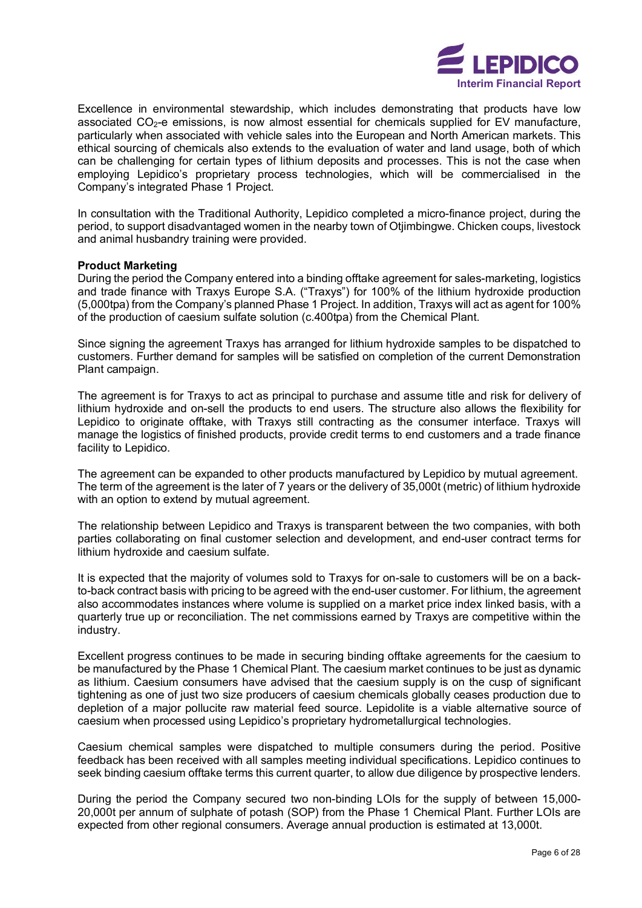

Excellence in environmental stewardship, which includes demonstrating that products have low associated  $CO<sub>2</sub>$ -e emissions, is now almost essential for chemicals supplied for EV manufacture, particularly when associated with vehicle sales into the European and North American markets. This ethical sourcing of chemicals also extends to the evaluation of water and land usage, both of which can be challenging for certain types of lithium deposits and processes. This is not the case when employing Lepidico's proprietary process technologies, which will be commercialised in the Company's integrated Phase 1 Project.

In consultation with the Traditional Authority, Lepidico completed a micro-finance project, during the period, to support disadvantaged women in the nearby town of Otjimbingwe. Chicken coups, livestock and animal husbandry training were provided.

#### **Product Marketing**

During the period the Company entered into a binding offtake agreement for sales-marketing, logistics and trade finance with Traxys Europe S.A. ("Traxys") for 100% of the lithium hydroxide production (5,000tpa) from the Company's planned Phase 1 Project. In addition, Traxys will act as agent for 100% of the production of caesium sulfate solution (c.400tpa) from the Chemical Plant.

Since signing the agreement Traxys has arranged for lithium hydroxide samples to be dispatched to customers. Further demand for samples will be satisfied on completion of the current Demonstration Plant campaign.

The agreement is for Traxys to act as principal to purchase and assume title and risk for delivery of lithium hydroxide and on-sell the products to end users. The structure also allows the flexibility for Lepidico to originate offtake, with Traxys still contracting as the consumer interface. Traxys will manage the logistics of finished products, provide credit terms to end customers and a trade finance facility to Lepidico.

The agreement can be expanded to other products manufactured by Lepidico by mutual agreement. The term of the agreement is the later of 7 years or the delivery of 35,000t (metric) of lithium hydroxide with an option to extend by mutual agreement.

The relationship between Lepidico and Traxys is transparent between the two companies, with both parties collaborating on final customer selection and development, and end-user contract terms for lithium hydroxide and caesium sulfate.

It is expected that the majority of volumes sold to Traxys for on-sale to customers will be on a backto-back contract basis with pricing to be agreed with the end-user customer. For lithium, the agreement also accommodates instances where volume is supplied on a market price index linked basis, with a quarterly true up or reconciliation. The net commissions earned by Traxys are competitive within the industry.

Excellent progress continues to be made in securing binding offtake agreements for the caesium to be manufactured by the Phase 1 Chemical Plant. The caesium market continues to be just as dynamic as lithium. Caesium consumers have advised that the caesium supply is on the cusp of significant tightening as one of just two size producers of caesium chemicals globally ceases production due to depletion of a major pollucite raw material feed source. Lepidolite is a viable alternative source of caesium when processed using Lepidico's proprietary hydrometallurgical technologies.

Caesium chemical samples were dispatched to multiple consumers during the period. Positive feedback has been received with all samples meeting individual specifications. Lepidico continues to seek binding caesium offtake terms this current quarter, to allow due diligence by prospective lenders.

During the period the Company secured two non-binding LOIs for the supply of between 15,000- 20,000t per annum of sulphate of potash (SOP) from the Phase 1 Chemical Plant. Further LOIs are expected from other regional consumers. Average annual production is estimated at 13,000t.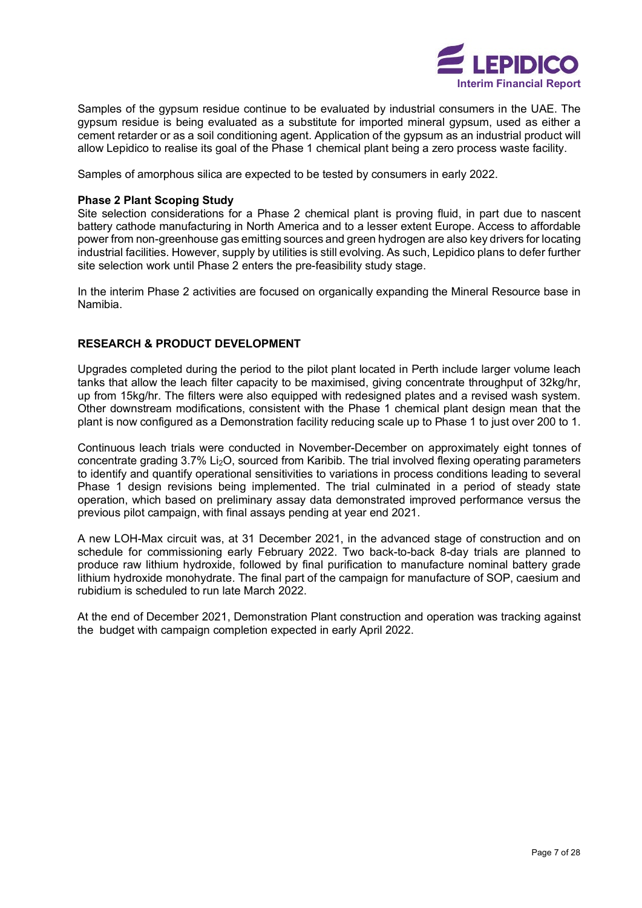

Samples of the gypsum residue continue to be evaluated by industrial consumers in the UAE. The gypsum residue is being evaluated as a substitute for imported mineral gypsum, used as either a cement retarder or as a soil conditioning agent. Application of the gypsum as an industrial product will allow Lepidico to realise its goal of the Phase 1 chemical plant being a zero process waste facility.

Samples of amorphous silica are expected to be tested by consumers in early 2022.

### **Phase 2 Plant Scoping Study**

Site selection considerations for a Phase 2 chemical plant is proving fluid, in part due to nascent battery cathode manufacturing in North America and to a lesser extent Europe. Access to affordable power from non-greenhouse gas emitting sources and green hydrogen are also key drivers for locating industrial facilities. However, supply by utilities is still evolving. As such, Lepidico plans to defer further site selection work until Phase 2 enters the pre-feasibility study stage.

In the interim Phase 2 activities are focused on organically expanding the Mineral Resource base in Namibia.

#### **RESEARCH & PRODUCT DEVELOPMENT**

Upgrades completed during the period to the pilot plant located in Perth include larger volume leach tanks that allow the leach filter capacity to be maximised, giving concentrate throughput of 32kg/hr, up from 15kg/hr. The filters were also equipped with redesigned plates and a revised wash system. Other downstream modifications, consistent with the Phase 1 chemical plant design mean that the plant is now configured as a Demonstration facility reducing scale up to Phase 1 to just over 200 to 1.

Continuous leach trials were conducted in November-December on approximately eight tonnes of concentrate grading 3.7% Li2O, sourced from Karibib. The trial involved flexing operating parameters to identify and quantify operational sensitivities to variations in process conditions leading to several Phase 1 design revisions being implemented. The trial culminated in a period of steady state operation, which based on preliminary assay data demonstrated improved performance versus the previous pilot campaign, with final assays pending at year end 2021.

A new LOH-Max circuit was, at 31 December 2021, in the advanced stage of construction and on schedule for commissioning early February 2022. Two back-to-back 8-day trials are planned to produce raw lithium hydroxide, followed by final purification to manufacture nominal battery grade lithium hydroxide monohydrate. The final part of the campaign for manufacture of SOP, caesium and rubidium is scheduled to run late March 2022.

At the end of December 2021, Demonstration Plant construction and operation was tracking against the budget with campaign completion expected in early April 2022.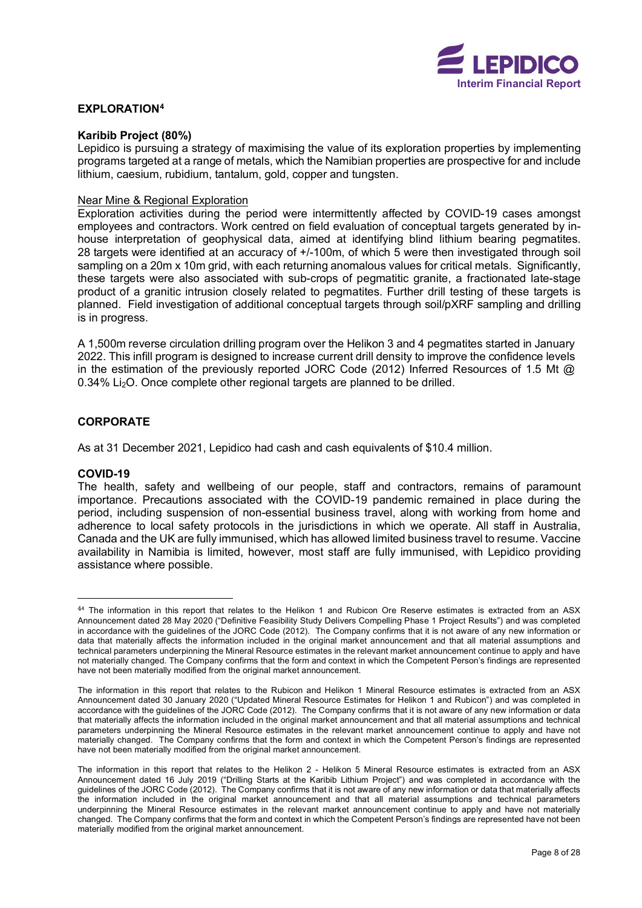

### **EXPLORATIO[N4](#page-9-0)**

#### **Karibib Project (80%)**

Lepidico is pursuing a strategy of maximising the value of its exploration properties by implementing programs targeted at a range of metals, which the Namibian properties are prospective for and include lithium, caesium, rubidium, tantalum, gold, copper and tungsten.

#### Near Mine & Regional Exploration

Exploration activities during the period were intermittently affected by COVID-19 cases amongst employees and contractors. Work centred on field evaluation of conceptual targets generated by inhouse interpretation of geophysical data, aimed at identifying blind lithium bearing pegmatites. 28 targets were identified at an accuracy of +/-100m, of which 5 were then investigated through soil sampling on a 20m x 10m grid, with each returning anomalous values for critical metals. Significantly, these targets were also associated with sub-crops of pegmatitic granite, a fractionated late-stage product of a granitic intrusion closely related to pegmatites. Further drill testing of these targets is planned. Field investigation of additional conceptual targets through soil/pXRF sampling and drilling is in progress.

A 1,500m reverse circulation drilling program over the Helikon 3 and 4 pegmatites started in January 2022. This infill program is designed to increase current drill density to improve the confidence levels in the estimation of the previously reported JORC Code (2012) Inferred Resources of 1.5 Mt @ 0.34% Li2O. Once complete other regional targets are planned to be drilled.

### **CORPORATE**

As at 31 December 2021, Lepidico had cash and cash equivalents of \$10.4 million.

#### **COVID-19**

The health, safety and wellbeing of our people, staff and contractors, remains of paramount importance. Precautions associated with the COVID-19 pandemic remained in place during the period, including suspension of non-essential business travel, along with working from home and adherence to local safety protocols in the jurisdictions in which we operate. All staff in Australia, Canada and the UK are fully immunised, which has allowed limited business travel to resume. Vaccine availability in Namibia is limited, however, most staff are fully immunised, with Lepidico providing assistance where possible.

<span id="page-9-0"></span><sup>44</sup> The information in this report that relates to the Helikon 1 and Rubicon Ore Reserve estimates is extracted from an ASX Announcement dated 28 May 2020 ("Definitive Feasibility Study Delivers Compelling Phase 1 Project Results") and was completed in accordance with the guidelines of the JORC Code (2012). The Company confirms that it is not aware of any new information or data that materially affects the information included in the original market announcement and that all material assumptions and technical parameters underpinning the Mineral Resource estimates in the relevant market announcement continue to apply and have not materially changed. The Company confirms that the form and context in which the Competent Person's findings are represented have not been materially modified from the original market announcement.

The information in this report that relates to the Rubicon and Helikon 1 Mineral Resource estimates is extracted from an ASX Announcement dated 30 January 2020 ("Updated Mineral Resource Estimates for Helikon 1 and Rubicon") and was completed in accordance with the guidelines of the JORC Code (2012). The Company confirms that it is not aware of any new information or data that materially affects the information included in the original market announcement and that all material assumptions and technical parameters underpinning the Mineral Resource estimates in the relevant market announcement continue to apply and have not materially changed. The Company confirms that the form and context in which the Competent Person's findings are represented have not been materially modified from the original market announcement.

The information in this report that relates to the Helikon 2 - Helikon 5 Mineral Resource estimates is extracted from an ASX Announcement dated 16 July 2019 ("Drilling Starts at the Karibib Lithium Project") and was completed in accordance with the guidelines of the JORC Code (2012). The Company confirms that it is not aware of any new information or data that materially affects the information included in the original market announcement and that all material assumptions and technical parameters underpinning the Mineral Resource estimates in the relevant market announcement continue to apply and have not materially changed. The Company confirms that the form and context in which the Competent Person's findings are represented have not been materially modified from the original market announcement.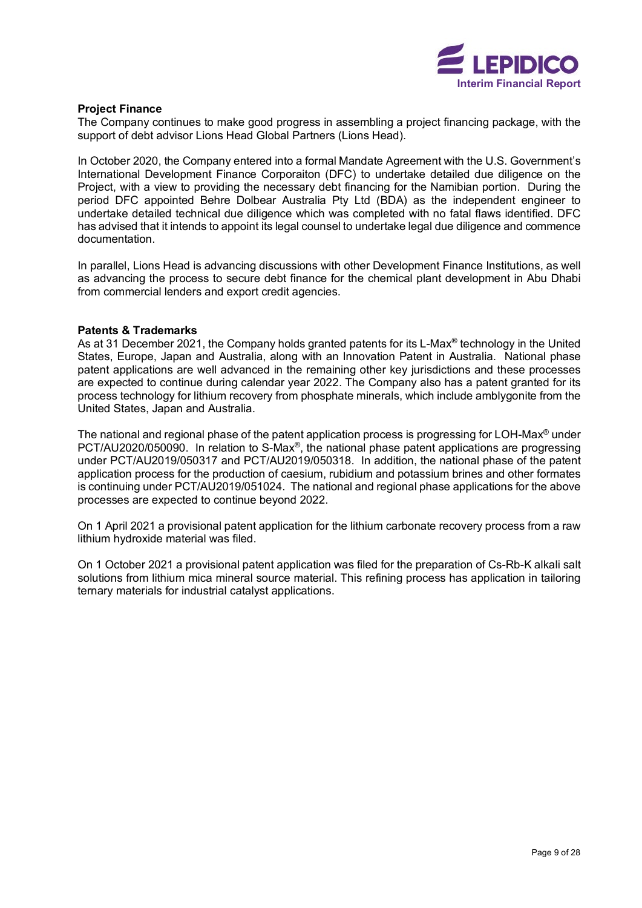

#### **Project Finance**

The Company continues to make good progress in assembling a project financing package, with the support of debt advisor Lions Head Global Partners (Lions Head).

In October 2020, the Company entered into a formal Mandate Agreement with the U.S. Government's International Development Finance Corporaiton (DFC) to undertake detailed due diligence on the Project, with a view to providing the necessary debt financing for the Namibian portion. During the period DFC appointed Behre Dolbear Australia Pty Ltd (BDA) as the independent engineer to undertake detailed technical due diligence which was completed with no fatal flaws identified. DFC has advised that it intends to appoint its legal counsel to undertake legal due diligence and commence documentation.

In parallel, Lions Head is advancing discussions with other Development Finance Institutions, as well as advancing the process to secure debt finance for the chemical plant development in Abu Dhabi from commercial lenders and export credit agencies.

#### **Patents & Trademarks**

As at 31 December 2021, the Company holds granted patents for its L-Max<sup>®</sup> technology in the United States, Europe, Japan and Australia, along with an Innovation Patent in Australia. National phase patent applications are well advanced in the remaining other key jurisdictions and these processes are expected to continue during calendar year 2022. The Company also has a patent granted for its process technology for lithium recovery from phosphate minerals, which include amblygonite from the United States, Japan and Australia.

The national and regional phase of the patent application process is progressing for LOH-Max® under PCT/AU2020/050090. In relation to S-Max®, the national phase patent applications are progressing under PCT/AU2019/050317 and PCT/AU2019/050318. In addition, the national phase of the patent application process for the production of caesium, rubidium and potassium brines and other formates is continuing under PCT/AU2019/051024. The national and regional phase applications for the above processes are expected to continue beyond 2022.

On 1 April 2021 a provisional patent application for the lithium carbonate recovery process from a raw lithium hydroxide material was filed.

On 1 October 2021 a provisional patent application was filed for the preparation of Cs-Rb-K alkali salt solutions from lithium mica mineral source material. This refining process has application in tailoring ternary materials for industrial catalyst applications.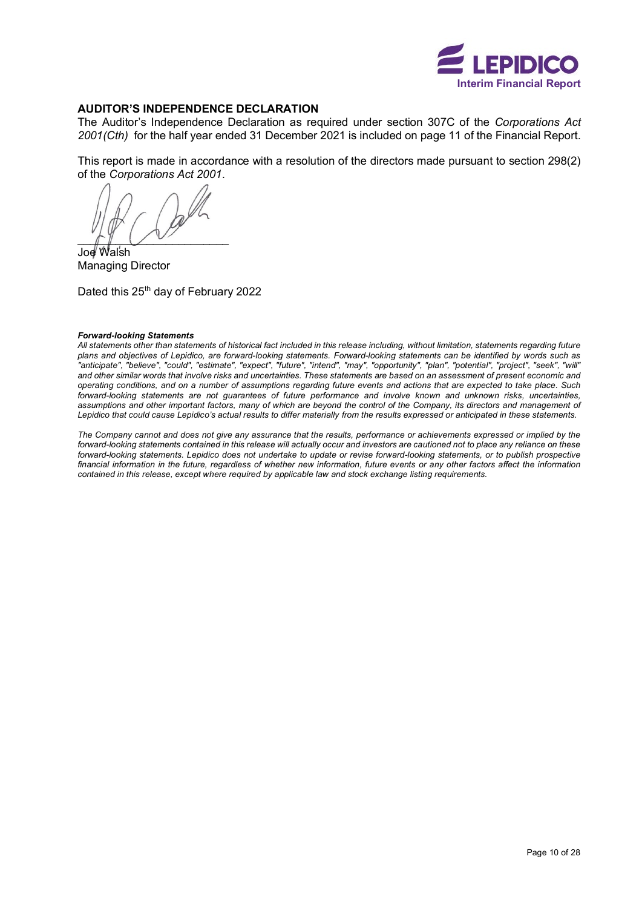

#### **AUDITOR'S INDEPENDENCE DECLARATION**

The Auditor's Independence Declaration as required under section 307C of the *Corporations Act 2001(Cth)* for the half year ended 31 December 2021 is included on page 11 of the Financial Report.

This report is made in accordance with a resolution of the directors made pursuant to section 298(2) of the *Corporations Act 2001*.

 $\bigcap$ 

Joe Walsh Managing Director

Dated this 25<sup>th</sup> day of February 2022

#### *Forward-looking Statements*

*All statements other than statements of historical fact included in this release including, without limitation, statements regarding future plans and objectives of Lepidico, are forward-looking statements. Forward-looking statements can be identified by words such as "anticipate", "believe", "could", "estimate", "expect", "future", "intend", "may", "opportunity", "plan", "potential", "project", "seek", "will" and other similar words that involve risks and uncertainties. These statements are based on an assessment of present economic and operating conditions, and on a number of assumptions regarding future events and actions that are expected to take place. Such forward-looking statements are not guarantees of future performance and involve known and unknown risks, uncertainties, assumptions and other important factors, many of which are beyond the control of the Company, its directors and management of Lepidico that could cause Lepidico's actual results to differ materially from the results expressed or anticipated in these statements.*

*The Company cannot and does not give any assurance that the results, performance or achievements expressed or implied by the*  forward-looking statements contained in this release will actually occur and investors are cautioned not to place any reliance on these forward-looking statements. Lepidico does not undertake to update or revise forward-looking statements, or to publish prospective *financial information in the future, regardless of whether new information, future events or any other factors affect the information contained in this release, except where required by applicable law and stock exchange listing requirements.*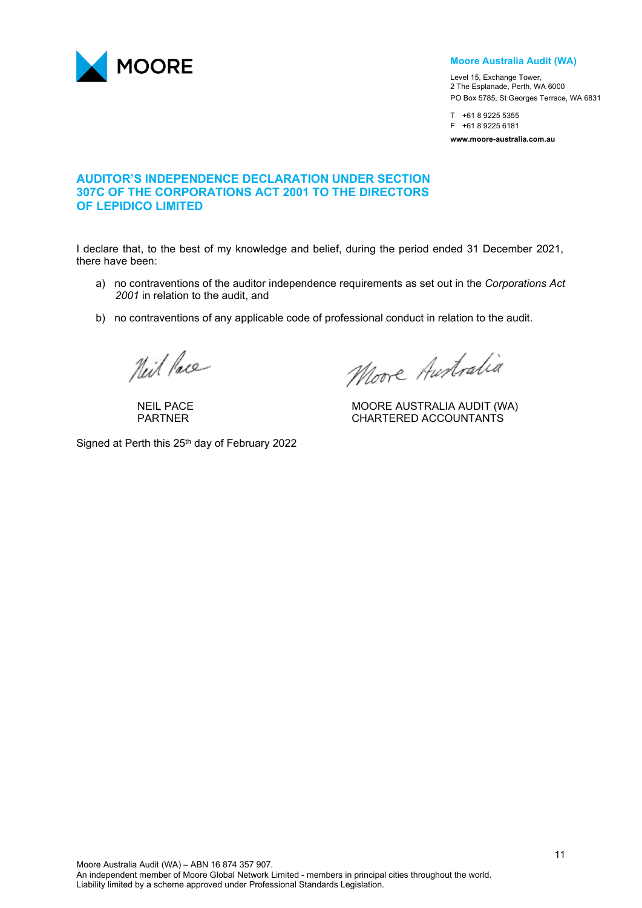

#### **Moore Australia Audit (WA)**

Level 15, Exchange Tower, 2 The Esplanade, Perth, WA 6000 PO Box 5785, St Georges Terrace, WA 6831

T +61 8 9225 5355 F +61 8 9225 6181 **www.moore-australia.com.au**

# **AUDITOR'S INDEPENDENCE DECLARATION UNDER SECTION 307C OF THE CORPORATIONS ACT 2001 TO THE DIRECTORS OF LEPIDICO LIMITED**

I declare that, to the best of my knowledge and belief, during the period ended 31 December 2021, there have been:

- a) no contraventions of the auditor independence requirements as set out in the *Corporations Act 2001* in relation to the audit, and
- b) no contraventions of any applicable code of professional conduct in relation to the audit.

Neil Pace

Moore Australia

NEIL PACE NEIL PACE NEIL PACE NEIL PACE NEIL PACE NEIL PACE NEIL PACE NEIL PARTIERED ACCOUNTANTS CHARTERED ACCOUNTANTS

Signed at Perth this 25<sup>th</sup> day of February 2022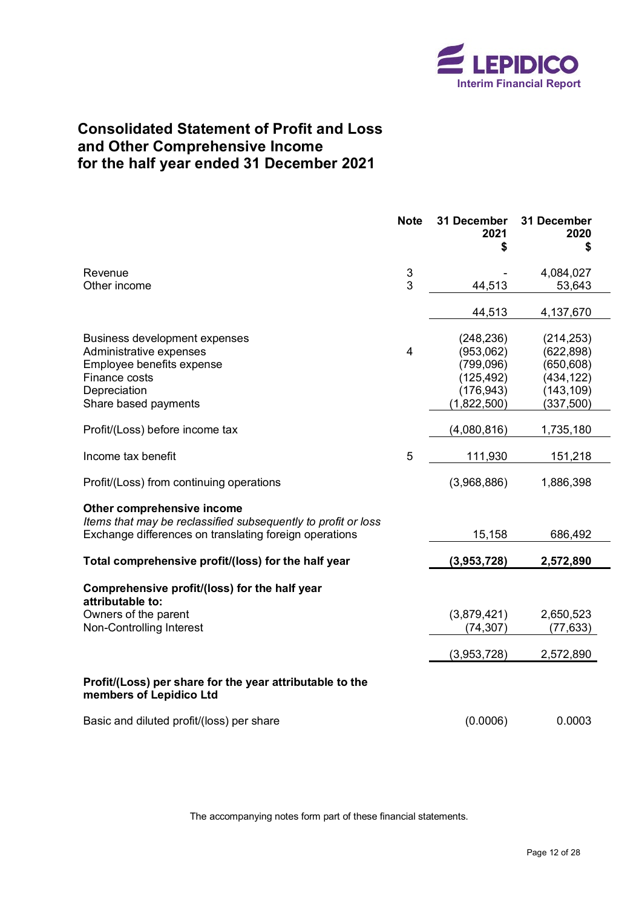

# <span id="page-13-0"></span>**Consolidated Statement of Profit and Loss and Other Comprehensive Income for the half year ended 31 December 2021**

|                                                                                                                                                       | <b>Note</b>    | 31 December<br>2021 | 31 December<br>2020<br>S |
|-------------------------------------------------------------------------------------------------------------------------------------------------------|----------------|---------------------|--------------------------|
| Revenue                                                                                                                                               | $\sqrt{3}$     |                     | 4,084,027                |
| Other income                                                                                                                                          | 3              | 44,513              | 53,643                   |
|                                                                                                                                                       |                | 44,513              | 4,137,670                |
| Business development expenses                                                                                                                         |                | (248, 236)          | (214, 253)               |
| Administrative expenses                                                                                                                               | $\overline{4}$ | (953,062)           | (622, 898)               |
| Employee benefits expense                                                                                                                             |                | (799, 096)          | (650, 608)               |
| Finance costs                                                                                                                                         |                | (125, 492)          | (434, 122)               |
| Depreciation                                                                                                                                          |                | (176, 943)          | (143, 109)               |
| Share based payments                                                                                                                                  |                | (1,822,500)         | (337, 500)               |
| Profit/(Loss) before income tax                                                                                                                       |                | (4,080,816)         | 1,735,180                |
| Income tax benefit                                                                                                                                    | 5              | 111,930             | 151,218                  |
| Profit/(Loss) from continuing operations                                                                                                              |                | (3,968,886)         | 1,886,398                |
| Other comprehensive income<br>Items that may be reclassified subsequently to profit or loss<br>Exchange differences on translating foreign operations |                | 15,158              | 686,492                  |
| Total comprehensive profit/(loss) for the half year                                                                                                   |                | (3,953,728)         | 2,572,890                |
| Comprehensive profit/(loss) for the half year<br>attributable to:                                                                                     |                |                     |                          |
| Owners of the parent                                                                                                                                  |                | (3,879,421)         | 2,650,523                |
| Non-Controlling Interest                                                                                                                              |                | (74, 307)           | (77, 633)                |
|                                                                                                                                                       |                | (3,953,728)         | 2,572,890                |
| Profit/(Loss) per share for the year attributable to the<br>members of Lepidico Ltd                                                                   |                |                     |                          |
| Basic and diluted profit/(loss) per share                                                                                                             |                | (0.0006)            | 0.0003                   |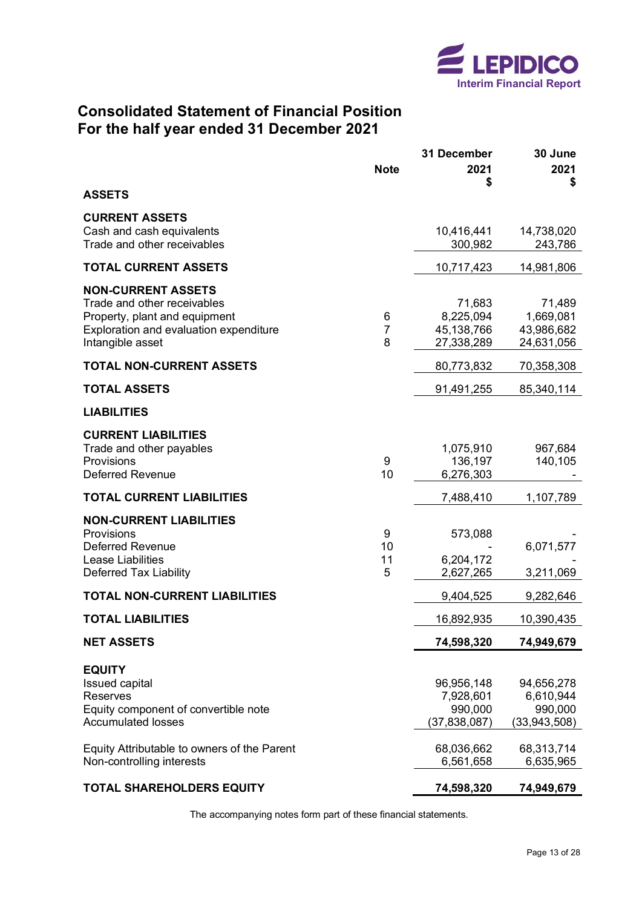

# <span id="page-14-0"></span>**Consolidated Statement of Financial Position For the half year ended 31 December 2021**

|                                                                                                                                                         | <b>Note</b>              | 31 December<br>2021<br>\$                            | 30 June<br>2021<br>\$                              |
|---------------------------------------------------------------------------------------------------------------------------------------------------------|--------------------------|------------------------------------------------------|----------------------------------------------------|
| <b>ASSETS</b>                                                                                                                                           |                          |                                                      |                                                    |
| <b>CURRENT ASSETS</b><br>Cash and cash equivalents<br>Trade and other receivables                                                                       |                          | 10,416,441<br>300,982                                | 14,738,020<br>243,786                              |
| <b>TOTAL CURRENT ASSETS</b>                                                                                                                             |                          | 10,717,423                                           | 14,981,806                                         |
| <b>NON-CURRENT ASSETS</b><br>Trade and other receivables<br>Property, plant and equipment<br>Exploration and evaluation expenditure<br>Intangible asset | 6<br>$\overline{7}$<br>8 | 71,683<br>8,225,094<br>45,138,766<br>27,338,289      | 71,489<br>1,669,081<br>43,986,682<br>24,631,056    |
| <b>TOTAL NON-CURRENT ASSETS</b>                                                                                                                         |                          | 80,773,832                                           | 70,358,308                                         |
| <b>TOTAL ASSETS</b>                                                                                                                                     |                          | 91,491,255                                           | 85,340,114                                         |
| <b>LIABILITIES</b>                                                                                                                                      |                          |                                                      |                                                    |
| <b>CURRENT LIABILITIES</b><br>Trade and other payables<br>Provisions<br><b>Deferred Revenue</b>                                                         | 9<br>10                  | 1,075,910<br>136,197<br>6,276,303                    | 967,684<br>140,105                                 |
| <b>TOTAL CURRENT LIABILITIES</b>                                                                                                                        |                          | 7,488,410                                            | 1,107,789                                          |
| <b>NON-CURRENT LIABILITIES</b><br>Provisions<br><b>Deferred Revenue</b><br>Lease Liabilities<br><b>Deferred Tax Liability</b>                           | 9<br>10<br>11<br>5       | 573,088<br>6,204,172<br>2,627,265                    | 6,071,577<br>3,211,069                             |
| <b>TOTAL NON-CURRENT LIABILITIES</b>                                                                                                                    |                          | 9,404,525                                            | 9,282,646                                          |
| <b>TOTAL LIABILITIES</b>                                                                                                                                |                          | 16,892,935                                           | 10,390,435                                         |
| <b>NET ASSETS</b>                                                                                                                                       |                          | 74,598,320                                           | 74,949,679                                         |
| <b>EQUITY</b><br><b>Issued capital</b><br><b>Reserves</b><br>Equity component of convertible note<br><b>Accumulated losses</b>                          |                          | 96,956,148<br>7,928,601<br>990,000<br>(37, 838, 087) | 94,656,278<br>6,610,944<br>990,000<br>(33,943,508) |
| Equity Attributable to owners of the Parent<br>Non-controlling interests                                                                                |                          | 68,036,662<br>6,561,658                              | 68,313,714<br>6,635,965                            |
| <b>TOTAL SHAREHOLDERS EQUITY</b>                                                                                                                        |                          | 74,598,320                                           | 74,949,679                                         |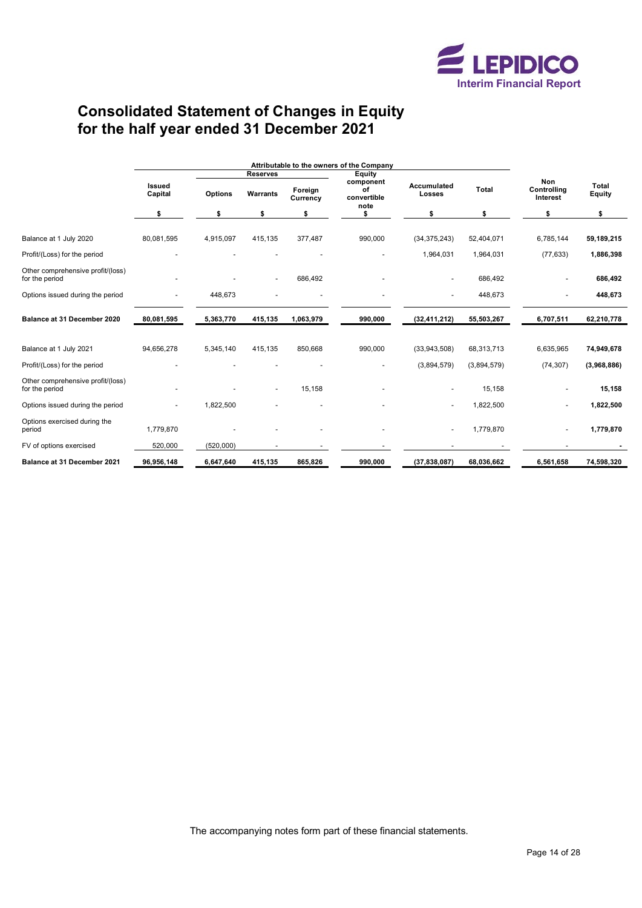

# <span id="page-15-0"></span>**Consolidated Statement of Changes in Equity for the half year ended 31 December 2021**

|                                                     |                          | Attributable to the owners of the Company |          |                     |                                        |                                       |             |                                       |                               |
|-----------------------------------------------------|--------------------------|-------------------------------------------|----------|---------------------|----------------------------------------|---------------------------------------|-------------|---------------------------------------|-------------------------------|
|                                                     |                          | <b>Reserves</b><br><b>Equity</b>          |          |                     |                                        |                                       |             |                                       |                               |
|                                                     | <b>Issued</b><br>Capital | <b>Options</b>                            | Warrants | Foreign<br>Currency | component<br>οf<br>convertible<br>note | Accumulated<br><b>Total</b><br>Losses |             | <b>Non</b><br>Controlling<br>Interest | <b>Total</b><br><b>Equity</b> |
|                                                     | \$                       | \$                                        | \$       | \$                  |                                        | \$                                    | \$          | \$                                    | \$                            |
| Balance at 1 July 2020                              | 80,081,595               | 4,915,097                                 | 415,135  | 377,487             | 990,000                                | (34, 375, 243)                        | 52,404,071  | 6,785,144                             | 59,189,215                    |
| Profit/(Loss) for the period                        |                          |                                           |          |                     |                                        | 1,964,031                             | 1,964,031   | (77, 633)                             | 1,886,398                     |
| Other comprehensive profit/(loss)<br>for the period |                          |                                           |          | 686,492             |                                        |                                       | 686,492     |                                       | 686,492                       |
| Options issued during the period                    |                          | 448,673                                   |          |                     |                                        | $\blacksquare$                        | 448,673     |                                       | 448,673                       |
| Balance at 31 December 2020                         | 80,081,595               | 5,363,770                                 | 415,135  | 1,063,979           | 990,000                                | (32, 411, 212)                        | 55,503,267  | 6,707,511                             | 62,210,778                    |
| Balance at 1 July 2021                              | 94,656,278               | 5,345,140                                 | 415.135  | 850,668             | 990,000                                | (33,943,508)                          | 68,313,713  | 6,635,965                             | 74,949,678                    |
| Profit/(Loss) for the period                        |                          |                                           |          |                     |                                        | (3,894,579)                           | (3,894,579) | (74, 307)                             | (3,968,886)                   |
| Other comprehensive profit/(loss)<br>for the period |                          |                                           |          | 15,158              |                                        |                                       | 15,158      |                                       | 15,158                        |
| Options issued during the period                    |                          | 1,822,500                                 |          |                     |                                        |                                       | 1,822,500   |                                       | 1,822,500                     |
| Options exercised during the<br>period              | 1,779,870                |                                           |          |                     |                                        |                                       | 1,779,870   |                                       | 1,779,870                     |
| FV of options exercised                             | 520,000                  | (520,000)                                 |          |                     |                                        |                                       |             |                                       |                               |
| <b>Balance at 31 December 2021</b>                  | 96,956,148               | 6,647,640                                 | 415,135  | 865,826             | 990,000                                | (37,838,087)                          | 68,036,662  | 6,561,658                             | 74,598,320                    |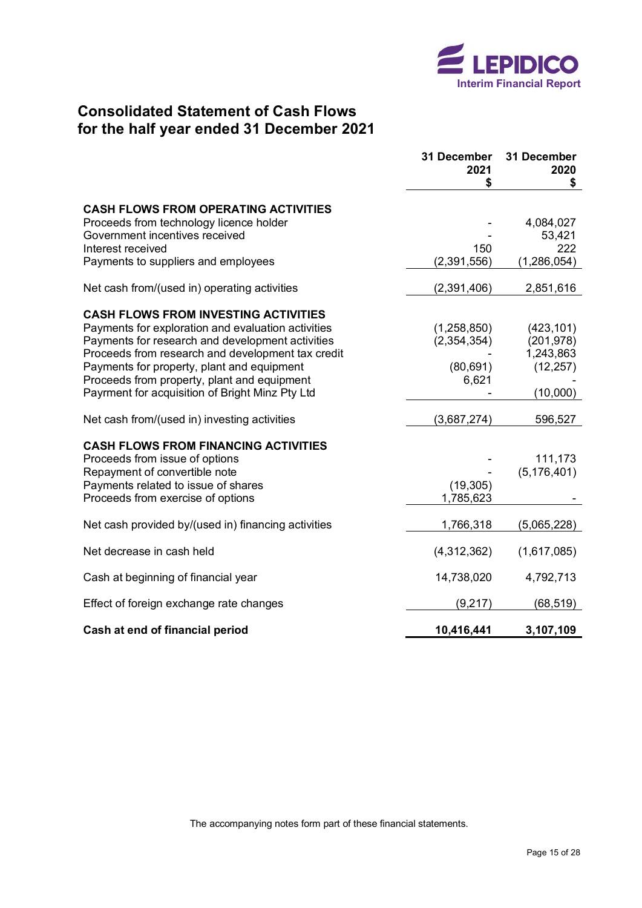

# <span id="page-16-0"></span>**Consolidated Statement of Cash Flows for the half year ended 31 December 2021**

|                                                     | 31 December<br>2021 | 31 December<br>2020 |
|-----------------------------------------------------|---------------------|---------------------|
|                                                     | \$                  | \$                  |
| <b>CASH FLOWS FROM OPERATING ACTIVITIES</b>         |                     |                     |
| Proceeds from technology licence holder             |                     | 4,084,027           |
| Government incentives received                      |                     | 53,421              |
| Interest received                                   | 150                 | 222                 |
| Payments to suppliers and employees                 | (2,391,556)         | (1,286,054)         |
| Net cash from/(used in) operating activities        | (2,391,406)         | 2,851,616           |
| <b>CASH FLOWS FROM INVESTING ACTIVITIES</b>         |                     |                     |
| Payments for exploration and evaluation activities  | (1,258,850)         | (423, 101)          |
| Payments for research and development activities    | (2,354,354)         | (201, 978)          |
| Proceeds from research and development tax credit   |                     | 1,243,863           |
| Payments for property, plant and equipment          | (80, 691)           | (12, 257)           |
| Proceeds from property, plant and equipment         | 6,621               |                     |
| Payrment for acquisition of Bright Minz Pty Ltd     |                     | (10,000)            |
| Net cash from/(used in) investing activities        | (3,687,274)         | 596,527             |
| <b>CASH FLOWS FROM FINANCING ACTIVITIES</b>         |                     |                     |
| Proceeds from issue of options                      |                     | 111,173             |
| Repayment of convertible note                       |                     | (5, 176, 401)       |
| Payments related to issue of shares                 | (19, 305)           |                     |
| Proceeds from exercise of options                   | 1,785,623           |                     |
| Net cash provided by/(used in) financing activities | 1,766,318           | (5,065,228)         |
| Net decrease in cash held                           | (4,312,362)         | (1,617,085)         |
| Cash at beginning of financial year                 | 14,738,020          | 4,792,713           |
| Effect of foreign exchange rate changes             | (9,217)             | (68, 519)           |
| Cash at end of financial period                     | 10,416,441          | 3,107,109           |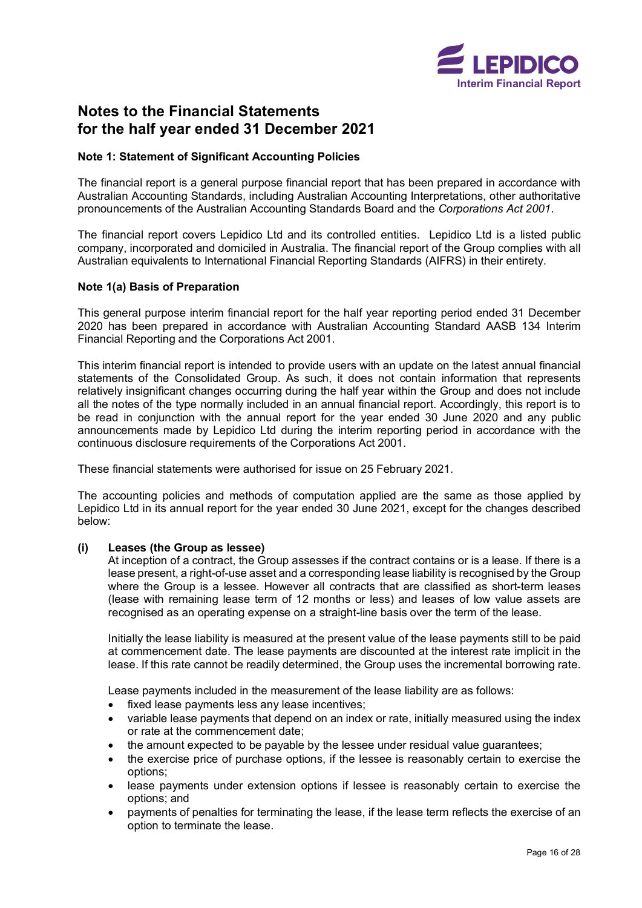

# <span id="page-17-0"></span>**Notes to the Financial Statements for the half year ended 31 December 2021**

### **Note 1: Statement of Significant Accounting Policies**

The financial report is a general purpose financial report that has been prepared in accordance with Australian Accounting Standards, including Australian Accounting Interpretations, other authoritative pronouncements of the Australian Accounting Standards Board and the *Corporations Act 2001*.

The financial report covers Lepidico Ltd and its controlled entities. Lepidico Ltd is a listed public company, incorporated and domiciled in Australia. The financial report of the Group complies with all Australian equivalents to International Financial Reporting Standards (AIFRS) in their entirety.

#### **Note 1(a) Basis of Preparation**

This general purpose interim financial report for the half year reporting period ended 31 December 2020 has been prepared in accordance with Australian Accounting Standard AASB 134 Interim Financial Reporting and the Corporations Act 2001.

This interim financial report is intended to provide users with an update on the latest annual financial statements of the Consolidated Group. As such, it does not contain information that represents relatively insignificant changes occurring during the half year within the Group and does not include all the notes of the type normally included in an annual financial report. Accordingly, this report is to be read in conjunction with the annual report for the year ended 30 June 2020 and any public announcements made by Lepidico Ltd during the interim reporting period in accordance with the continuous disclosure requirements of the Corporations Act 2001.

These financial statements were authorised for issue on 25 February 2021.

The accounting policies and methods of computation applied are the same as those applied by Lepidico Ltd in its annual report for the year ended 30 June 2021, except for the changes described below:

### **(i) Leases (the Group as lessee)**

At inception of a contract, the Group assesses if the contract contains or is a lease. If there is a lease present, a right-of-use asset and a corresponding lease liability is recognised by the Group where the Group is a lessee. However all contracts that are classified as short-term leases (lease with remaining lease term of 12 months or less) and leases of low value assets are recognised as an operating expense on a straight-line basis over the term of the lease.

Initially the lease liability is measured at the present value of the lease payments still to be paid at commencement date. The lease payments are discounted at the interest rate implicit in the lease. If this rate cannot be readily determined, the Group uses the incremental borrowing rate.

Lease payments included in the measurement of the lease liability are as follows:

- fixed lease payments less any lease incentives:
- variable lease payments that depend on an index or rate, initially measured using the index or rate at the commencement date;
- the amount expected to be payable by the lessee under residual value guarantees;
- the exercise price of purchase options, if the lessee is reasonably certain to exercise the options;
- lease payments under extension options if lessee is reasonably certain to exercise the options; and
- payments of penalties for terminating the lease, if the lease term reflects the exercise of an option to terminate the lease.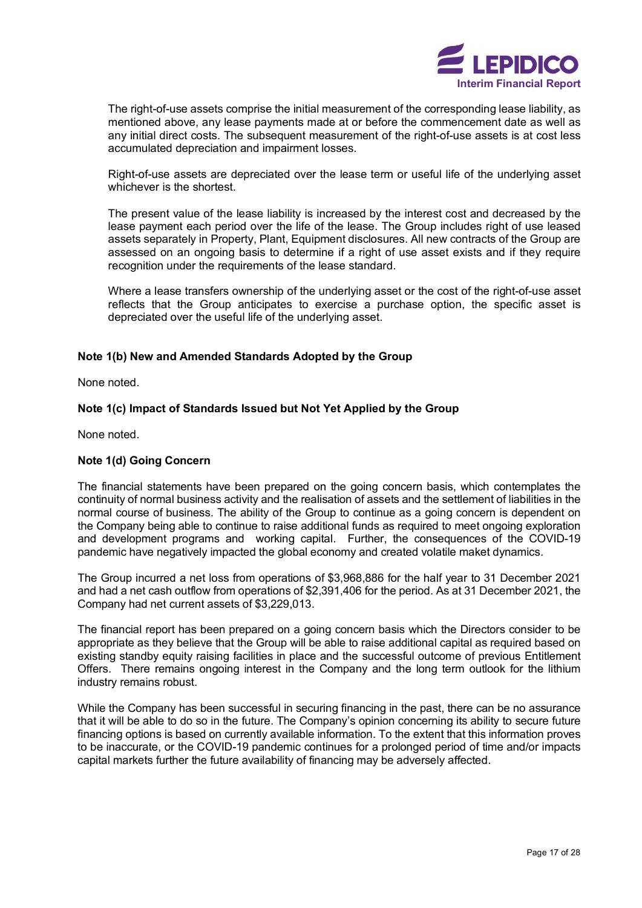

The right-of-use assets comprise the initial measurement of the corresponding lease liability, as mentioned above, any lease payments made at or before the commencement date as well as any initial direct costs. The subsequent measurement of the right-of-use assets is at cost less accumulated depreciation and impairment losses.

Right-of-use assets are depreciated over the lease term or useful life of the underlying asset whichever is the shortest.

The present value of the lease liability is increased by the interest cost and decreased by the lease payment each period over the life of the lease. The Group includes right of use leased assets separately in Property, Plant, Equipment disclosures. All new contracts of the Group are assessed on an ongoing basis to determine if a right of use asset exists and if they require recognition under the requirements of the lease standard.

Where a lease transfers ownership of the underlying asset or the cost of the right-of-use asset reflects that the Group anticipates to exercise a purchase option, the specific asset is depreciated over the useful life of the underlying asset.

### **Note 1(b) New and Amended Standards Adopted by the Group**

None noted.

#### **Note 1(c) Impact of Standards Issued but Not Yet Applied by the Group**

None noted.

#### **Note 1(d) Going Concern**

The financial statements have been prepared on the going concern basis, which contemplates the continuity of normal business activity and the realisation of assets and the settlement of liabilities in the normal course of business. The ability of the Group to continue as a going concern is dependent on the Company being able to continue to raise additional funds as required to meet ongoing exploration and development programs and working capital. Further, the consequences of the COVID-19 pandemic have negatively impacted the global economy and created volatile maket dynamics.

The Group incurred a net loss from operations of \$3,968,886 for the half year to 31 December 2021 and had a net cash outflow from operations of \$2,391,406 for the period. As at 31 December 2021, the Company had net current assets of \$3,229,013.

The financial report has been prepared on a going concern basis which the Directors consider to be appropriate as they believe that the Group will be able to raise additional capital as required based on existing standby equity raising facilities in place and the successful outcome of previous Entitlement Offers. There remains ongoing interest in the Company and the long term outlook for the lithium industry remains robust.

While the Company has been successful in securing financing in the past, there can be no assurance that it will be able to do so in the future. The Company's opinion concerning its ability to secure future financing options is based on currently available information. To the extent that this information proves to be inaccurate, or the COVID-19 pandemic continues for a prolonged period of time and/or impacts capital markets further the future availability of financing may be adversely affected.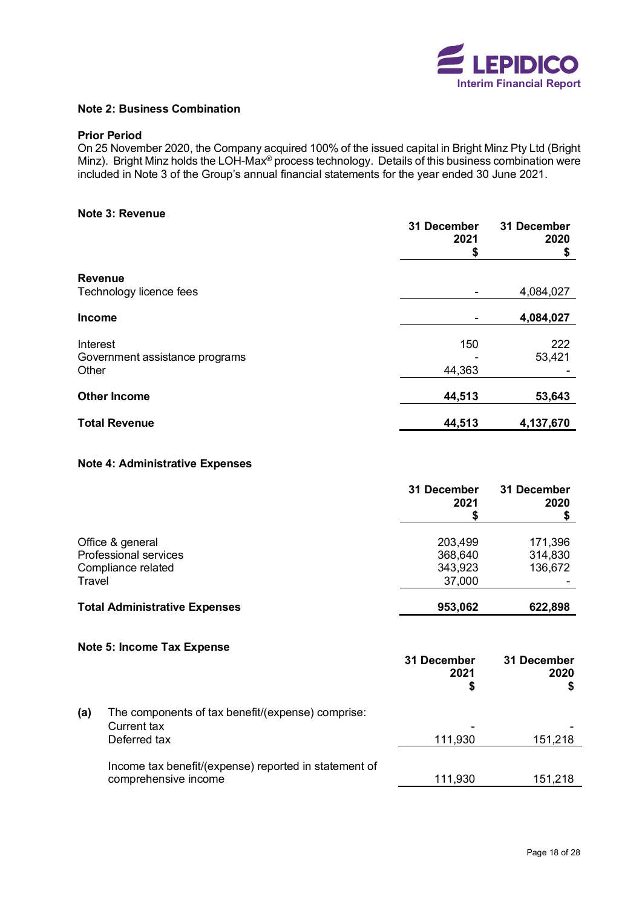

#### **Note 2: Business Combination**

#### **Prior Period**

On 25 November 2020, the Company acquired 100% of the issued capital in Bright Minz Pty Ltd (Bright Minz). Bright Minz holds the LOH-Max<sup>®</sup> process technology. Details of this business combination were included in Note 3 of the Group's annual financial statements for the year ended 30 June 2021.

#### **Note 3: Revenue**

|                                | 31 December<br>2021<br>S | 31 December<br>2020<br>\$ |
|--------------------------------|--------------------------|---------------------------|
| <b>Revenue</b>                 |                          |                           |
| Technology licence fees        |                          | 4,084,027                 |
| <b>Income</b>                  |                          | 4,084,027                 |
| Interest                       | 150                      | 222                       |
| Government assistance programs |                          | 53,421                    |
| Other                          | 44,363                   |                           |
| <b>Other Income</b>            | 44,513                   | 53,643                    |
| <b>Total Revenue</b>           | 44,513                   | 4,137,670                 |

#### **Note 4: Administrative Expenses**

|                                      | 31 December<br>2021 | 31 December<br>2020 |
|--------------------------------------|---------------------|---------------------|
|                                      |                     |                     |
| Office & general                     | 203,499             | 171,396             |
| Professional services                | 368,640             | 314,830             |
| Compliance related                   | 343,923             | 136,672             |
| Travel                               | 37,000              |                     |
| <b>Total Administrative Expenses</b> | 953,062             | 622,898             |

## **Note 5: Income Tax Expense**

|     |                                                       | 31 December<br>2021<br>S | 31 December<br>2020 |
|-----|-------------------------------------------------------|--------------------------|---------------------|
| (a) | The components of tax benefit/(expense) comprise:     |                          |                     |
|     | Current tax                                           |                          |                     |
|     | Deferred tax                                          | 111,930                  | 151,218             |
|     | Income tax benefit/(expense) reported in statement of |                          |                     |
|     | comprehensive income                                  | 111,930                  | 151,218             |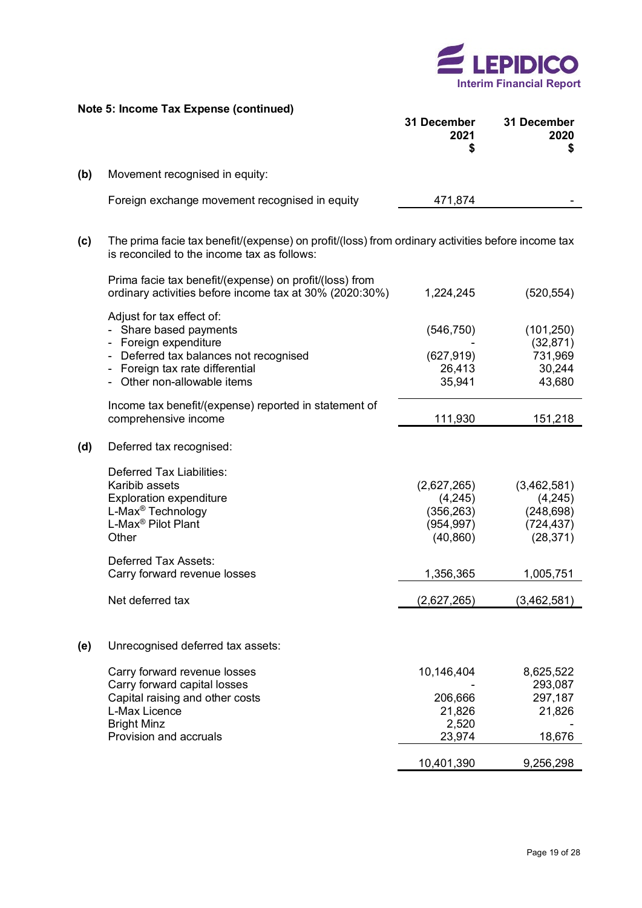

|     | Note 5: Income Tax Expense (continued)                                                                                                                                             | 31 December<br>2021<br>\$                                       | 31 December<br>2020<br>\$                                       |
|-----|------------------------------------------------------------------------------------------------------------------------------------------------------------------------------------|-----------------------------------------------------------------|-----------------------------------------------------------------|
| (b) | Movement recognised in equity:                                                                                                                                                     |                                                                 |                                                                 |
|     | Foreign exchange movement recognised in equity                                                                                                                                     | 471,874                                                         |                                                                 |
| (c) | The prima facie tax benefit/(expense) on profit/(loss) from ordinary activities before income tax<br>is reconciled to the income tax as follows:                                   |                                                                 |                                                                 |
|     | Prima facie tax benefit/(expense) on profit/(loss) from<br>ordinary activities before income tax at 30% (2020:30%)                                                                 | 1,224,245                                                       | (520, 554)                                                      |
|     | Adjust for tax effect of:<br>- Share based payments<br>- Foreign expenditure<br>Deferred tax balances not recognised<br>Foreign tax rate differential<br>Other non-allowable items | (546, 750)<br>(627, 919)<br>26,413<br>35,941                    | (101, 250)<br>(32, 871)<br>731,969<br>30,244<br>43,680          |
|     | Income tax benefit/(expense) reported in statement of<br>comprehensive income                                                                                                      | 111,930                                                         | 151,218                                                         |
| (d) | Deferred tax recognised:                                                                                                                                                           |                                                                 |                                                                 |
|     | <b>Deferred Tax Liabilities:</b><br>Karibib assets<br><b>Exploration expenditure</b><br>L-Max <sup>®</sup> Technology<br>L-Max <sup>®</sup> Pilot Plant<br>Other                   | (2,627,265)<br>(4,245)<br>(356, 263)<br>(954, 997)<br>(40, 860) | (3,462,581)<br>(4,245)<br>(248, 698)<br>(724, 437)<br>(28, 371) |
|     | <b>Deferred Tax Assets:</b><br>Carry forward revenue losses                                                                                                                        | 1,356,365                                                       | 1,005,751                                                       |
|     | Net deferred tax                                                                                                                                                                   | (2,627,265)                                                     | (3,462,581)                                                     |
| (e) | Unrecognised deferred tax assets:                                                                                                                                                  |                                                                 |                                                                 |
|     | Carry forward revenue losses<br>Carry forward capital losses<br>Capital raising and other costs<br>L-Max Licence<br><b>Bright Minz</b><br>Provision and accruals                   | 10,146,404<br>206,666<br>21,826<br>2,520<br>23,974              | 8,625,522<br>293,087<br>297,187<br>21,826<br>18,676             |
|     |                                                                                                                                                                                    | 10,401,390                                                      | 9,256,298                                                       |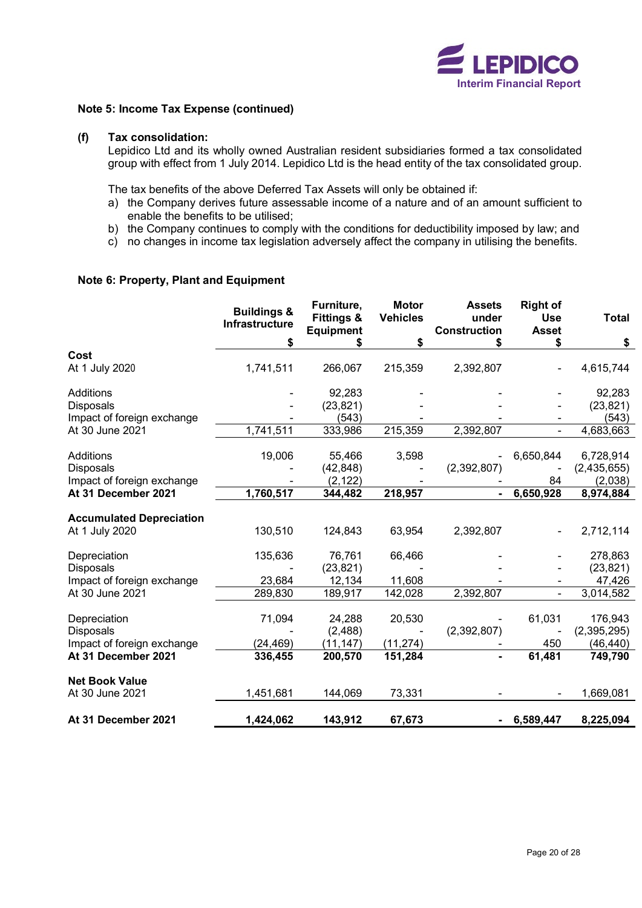

#### **Note 5: Income Tax Expense (continued)**

### **(f) Tax consolidation:**

Lepidico Ltd and its wholly owned Australian resident subsidiaries formed a tax consolidated group with effect from 1 July 2014. Lepidico Ltd is the head entity of the tax consolidated group.

The tax benefits of the above Deferred Tax Assets will only be obtained if:

- a) the Company derives future assessable income of a nature and of an amount sufficient to enable the benefits to be utilised;
- b) the Company continues to comply with the conditions for deductibility imposed by law; and
- c) no changes in income tax legislation adversely affect the company in utilising the benefits.

## **Note 6: Property, Plant and Equipment**

|                                                   | <b>Buildings &amp;</b><br>Infrastructure | Furniture,<br><b>Fittings &amp;</b><br><b>Equipment</b> | <b>Motor</b><br><b>Vehicles</b> | <b>Assets</b><br>under<br><b>Construction</b> | <b>Right of</b><br><b>Use</b><br><b>Asset</b> | <b>Total</b>           |
|---------------------------------------------------|------------------------------------------|---------------------------------------------------------|---------------------------------|-----------------------------------------------|-----------------------------------------------|------------------------|
|                                                   | \$                                       | \$                                                      | \$                              | \$                                            | \$                                            | \$                     |
| Cost<br>At 1 July 2020                            | 1,741,511                                | 266,067                                                 | 215,359                         | 2,392,807                                     |                                               | 4,615,744              |
| <b>Additions</b><br><b>Disposals</b>              |                                          | 92,283<br>(23, 821)                                     |                                 |                                               |                                               | 92,283<br>(23, 821)    |
| Impact of foreign exchange                        |                                          | (543)                                                   |                                 |                                               |                                               | (543)                  |
| At 30 June 2021                                   | 1,741,511                                | 333,986                                                 | 215,359                         | 2,392,807                                     |                                               | 4,683,663              |
| <b>Additions</b>                                  | 19,006                                   | 55,466                                                  | 3,598                           |                                               | 6,650,844                                     | 6,728,914              |
| <b>Disposals</b><br>Impact of foreign exchange    |                                          | (42, 848)<br>(2, 122)                                   |                                 | (2, 392, 807)                                 | 84                                            | (2,435,655)<br>(2,038) |
| At 31 December 2021                               | 1,760,517                                | 344,482                                                 | 218,957                         |                                               | 6,650,928                                     | 8,974,884              |
| <b>Accumulated Depreciation</b><br>At 1 July 2020 | 130,510                                  | 124,843                                                 | 63,954                          | 2,392,807                                     |                                               | 2,712,114              |
| Depreciation<br><b>Disposals</b>                  | 135,636                                  | 76,761<br>(23, 821)                                     | 66,466                          |                                               |                                               | 278,863<br>(23, 821)   |
| Impact of foreign exchange                        | 23,684                                   | 12,134                                                  | 11,608                          |                                               |                                               | 47,426                 |
| At 30 June 2021                                   | 289,830                                  | 189,917                                                 | 142,028                         | 2,392,807                                     |                                               | 3,014,582              |
| Depreciation<br><b>Disposals</b>                  | 71,094                                   | 24,288<br>(2,488)                                       | 20,530                          | (2,392,807)                                   | 61,031                                        | 176,943<br>(2,395,295) |
| Impact of foreign exchange                        | (24, 469)                                | (11, 147)                                               | (11, 274)                       |                                               | 450                                           | (46, 440)              |
| At 31 December 2021                               | 336,455                                  | 200,570                                                 | 151,284                         |                                               | 61,481                                        | 749,790                |
| <b>Net Book Value</b>                             |                                          |                                                         |                                 |                                               |                                               |                        |
| At 30 June 2021                                   | 1,451,681                                | 144,069                                                 | 73,331                          |                                               |                                               | 1,669,081              |
| At 31 December 2021                               | 1,424,062                                | 143,912                                                 | 67,673                          |                                               | 6,589,447                                     | 8,225,094              |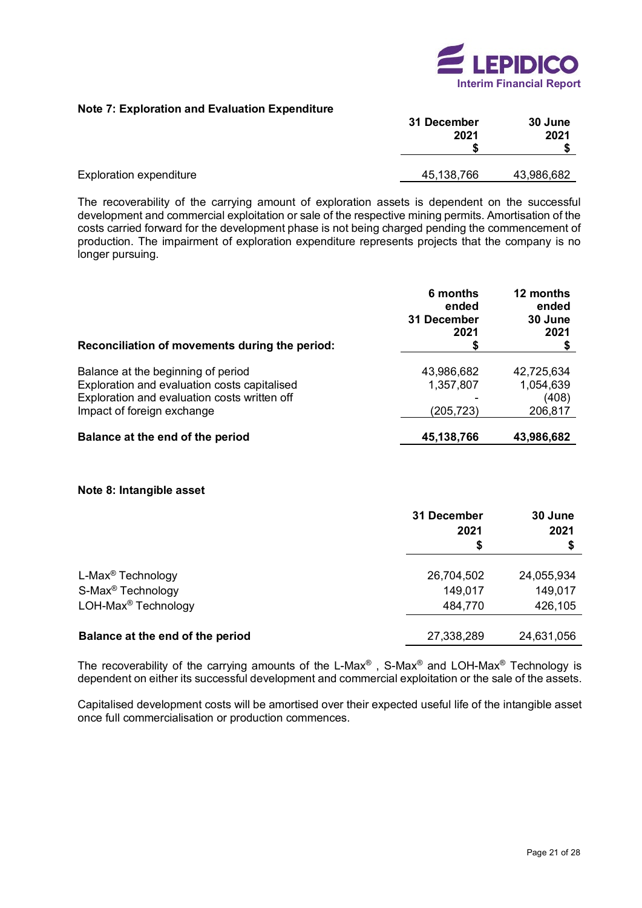

### **Note 7: Exploration and Evaluation Expenditure**

|                                | 31 December<br>2021 | 30 June<br>2021 |  |
|--------------------------------|---------------------|-----------------|--|
| <b>Exploration expenditure</b> | 45,138,766          | 43,986,682      |  |

The recoverability of the carrying amount of exploration assets is dependent on the successful development and commercial exploitation or sale of the respective mining permits. Amortisation of the costs carried forward for the development phase is not being charged pending the commencement of production. The impairment of exploration expenditure represents projects that the company is no longer pursuing.

| Reconciliation of movements during the period:                                                                                                                   | 6 months<br>ended<br>31 December<br>2021<br>Φ | 12 months<br>ended<br>30 June<br>2021<br>\$ |
|------------------------------------------------------------------------------------------------------------------------------------------------------------------|-----------------------------------------------|---------------------------------------------|
| Balance at the beginning of period<br>Exploration and evaluation costs capitalised<br>Exploration and evaluation costs written off<br>Impact of foreign exchange | 43,986,682<br>1,357,807<br>(205,723)          | 42,725,634<br>1,054,639<br>(408)<br>206,817 |
| Balance at the end of the period                                                                                                                                 | 45,138,766                                    | 43,986,682                                  |

#### **Note 8: Intangible asset**

|                                  | 31 December<br>2021<br>\$ | 30 June<br>2021<br>\$ |
|----------------------------------|---------------------------|-----------------------|
| L-Max <sup>®</sup> Technology    | 26,704,502                | 24,055,934            |
| S-Max <sup>®</sup> Technology    | 149,017                   | 149,017               |
| LOH-Max <sup>®</sup> Technology  | 484,770                   | 426,105               |
| Balance at the end of the period | 27,338,289                | 24,631,056            |

The recoverability of the carrying amounts of the L-Max®, S-Max® and LOH-Max® Technology is dependent on either its successful development and commercial exploitation or the sale of the assets.

Capitalised development costs will be amortised over their expected useful life of the intangible asset once full commercialisation or production commences.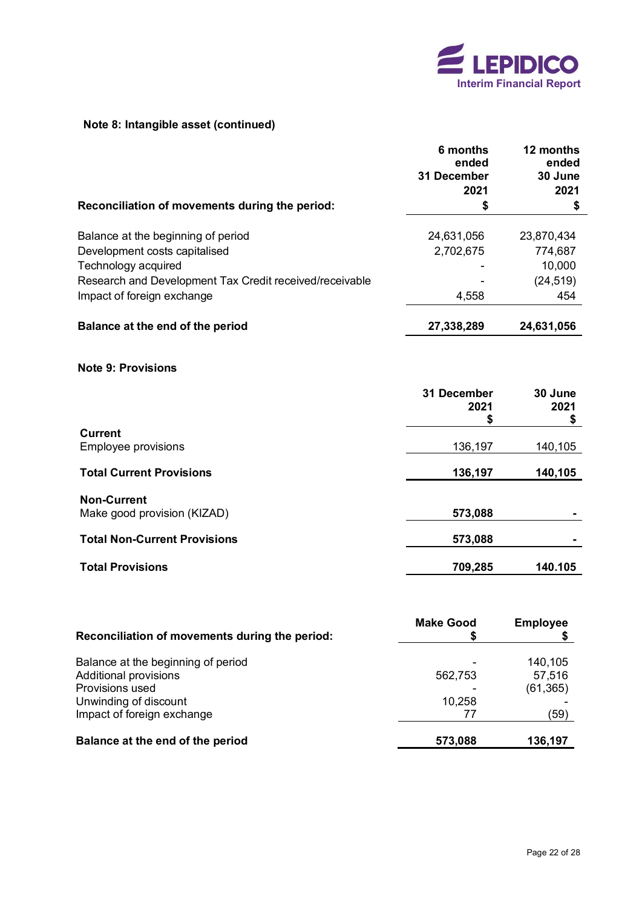

# **Note 8: Intangible asset (continued)**

|                                                         | 6 months<br>ended<br>31 December | 12 months<br>ended<br>30 June |
|---------------------------------------------------------|----------------------------------|-------------------------------|
|                                                         | 2021                             | 2021                          |
| Reconciliation of movements during the period:          | \$                               | \$                            |
| Balance at the beginning of period                      | 24,631,056                       | 23,870,434                    |
| Development costs capitalised                           | 2,702,675                        | 774,687                       |
| Technology acquired                                     |                                  | 10,000                        |
| Research and Development Tax Credit received/receivable |                                  | (24, 519)                     |
| Impact of foreign exchange                              | 4,558                            | 454                           |
| Balance at the end of the period                        | 27,338,289                       | 24,631,056                    |
| <b>Note 9: Provisions</b>                               |                                  |                               |
|                                                         | 31 December<br>2021<br>\$        | 30 June<br>2021<br>\$         |
| <b>Current</b>                                          |                                  |                               |
| <b>Employee provisions</b>                              | 136,197                          | 140,105                       |
| <b>Total Current Provisions</b>                         | 136,197                          | 140,105                       |
| <b>Non-Current</b>                                      |                                  |                               |
| Make good provision (KIZAD)                             | 573,088                          |                               |
| <b>Total Non-Current Provisions</b>                     | 573,088                          |                               |
| <b>Total Provisions</b>                                 | 709,285                          | 140.105                       |
|                                                         |                                  |                               |

| Reconciliation of movements during the period: | <b>Make Good</b> | <b>Employee</b> |
|------------------------------------------------|------------------|-----------------|
| Balance at the beginning of period             |                  | 140,105         |
| <b>Additional provisions</b>                   | 562,753          | 57,516          |
| <b>Provisions used</b>                         |                  | (61, 365)       |
| Unwinding of discount                          | 10,258           |                 |
| Impact of foreign exchange                     |                  | (59)            |
| Balance at the end of the period               | 573,088          | 136,197         |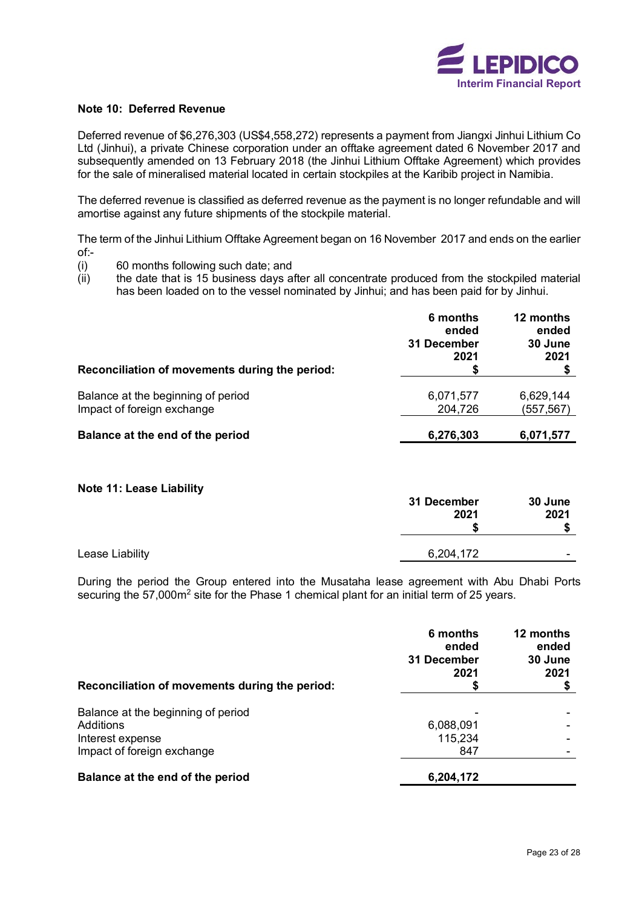

#### **Note 10: Deferred Revenue**

Deferred revenue of \$6,276,303 (US\$4,558,272) represents a payment from Jiangxi Jinhui Lithium Co Ltd (Jinhui), a private Chinese corporation under an offtake agreement dated 6 November 2017 and subsequently amended on 13 February 2018 (the Jinhui Lithium Offtake Agreement) which provides for the sale of mineralised material located in certain stockpiles at the Karibib project in Namibia.

The deferred revenue is classified as deferred revenue as the payment is no longer refundable and will amortise against any future shipments of the stockpile material.

The term of the Jinhui Lithium Offtake Agreement began on 16 November 2017 and ends on the earlier of:-

- (i) 60 months following such date; and
- $(iii)$  the date that is 15 business days after all concentrate produced from the stockpiled material has been loaded on to the vessel nominated by Jinhui; and has been paid for by Jinhui.

| Reconciliation of movements during the period:                   | 6 months<br>ended<br>31 December<br>2021<br>S | 12 months<br>ended<br>30 June<br>2021 |
|------------------------------------------------------------------|-----------------------------------------------|---------------------------------------|
| Balance at the beginning of period<br>Impact of foreign exchange | 6,071,577<br>204,726                          | 6,629,144<br>(557,567)                |
| Balance at the end of the period                                 | 6,276,303                                     | 6,071,577                             |

#### **Note 11: Lease Liability**

|                 | 31 December<br>2021 |   |
|-----------------|---------------------|---|
| Lease Liability | 6,204,172           | - |

During the period the Group entered into the Musataha lease agreement with Abu Dhabi Ports securing the 57,000m<sup>2</sup> site for the Phase 1 chemical plant for an initial term of 25 years.

|                                                                     | 6 months<br>ended<br>31 December<br>2021 | 12 months<br>ended<br>30 June<br>2021 |  |
|---------------------------------------------------------------------|------------------------------------------|---------------------------------------|--|
| Reconciliation of movements during the period:                      | 5                                        |                                       |  |
| Balance at the beginning of period<br>Additions<br>Interest expense | 6,088,091<br>115,234                     |                                       |  |
| Impact of foreign exchange                                          | 847                                      |                                       |  |
| Balance at the end of the period                                    | 6,204,172                                |                                       |  |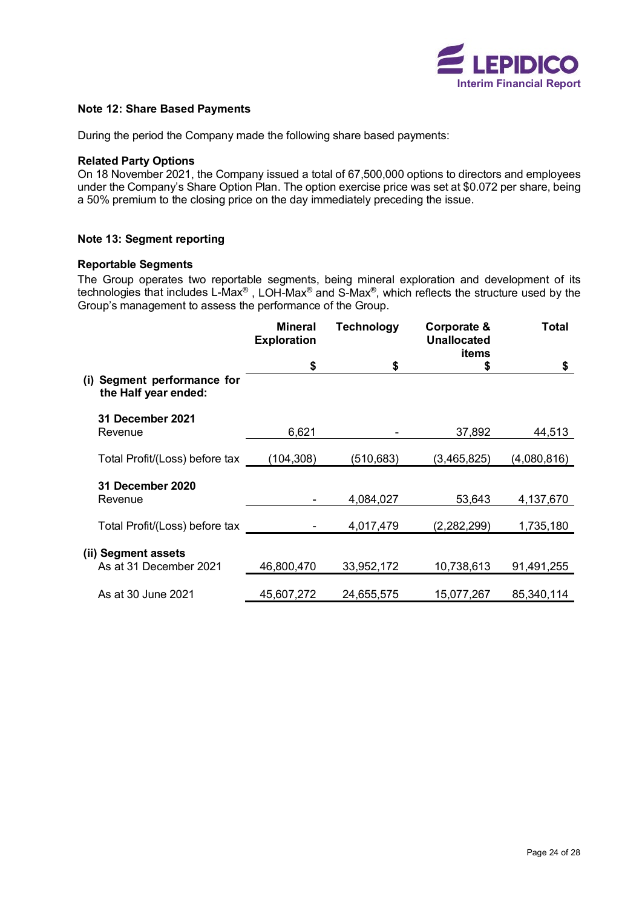

#### **Note 12: Share Based Payments**

During the period the Company made the following share based payments:

#### **Related Party Options**

On 18 November 2021, the Company issued a total of 67,500,000 options to directors and employees under the Company's Share Option Plan. The option exercise price was set at \$0.072 per share, being a 50% premium to the closing price on the day immediately preceding the issue.

### **Note 13: Segment reporting**

# **Reportable Segments**

The Group operates two reportable segments, being mineral exploration and development of its technologies that includes L-Max® , LOH-Max® and S-Max®, which reflects the structure used by the Group's management to assess the performance of the Group.

|                                                        | <b>Mineral</b><br><b>Exploration</b> | <b>Technology</b> | Corporate &<br><b>Unallocated</b><br>items | <b>Total</b> |
|--------------------------------------------------------|--------------------------------------|-------------------|--------------------------------------------|--------------|
|                                                        | \$                                   | \$                | \$                                         | \$           |
| Segment performance for<br>(i)<br>the Half year ended: |                                      |                   |                                            |              |
| 31 December 2021                                       |                                      |                   |                                            |              |
| Revenue                                                | 6,621                                |                   | 37,892                                     | 44,513       |
| Total Profit/(Loss) before tax                         | (104, 308)                           | (510,683)         | (3,465,825)                                | (4,080,816)  |
|                                                        |                                      |                   |                                            |              |
| 31 December 2020                                       |                                      |                   |                                            |              |
| Revenue                                                |                                      | 4,084,027         | 53,643                                     | 4,137,670    |
|                                                        |                                      |                   |                                            |              |
| Total Profit/(Loss) before tax                         |                                      | 4,017,479         | (2,282,299)                                | 1,735,180    |
| (ii) Segment assets                                    |                                      |                   |                                            |              |
| As at 31 December 2021                                 | 46,800,470                           | 33,952,172        | 10,738,613                                 | 91,491,255   |
|                                                        |                                      |                   |                                            |              |
| As at 30 June 2021                                     | 45,607,272                           | 24,655,575        | 15,077,267                                 | 85,340,114   |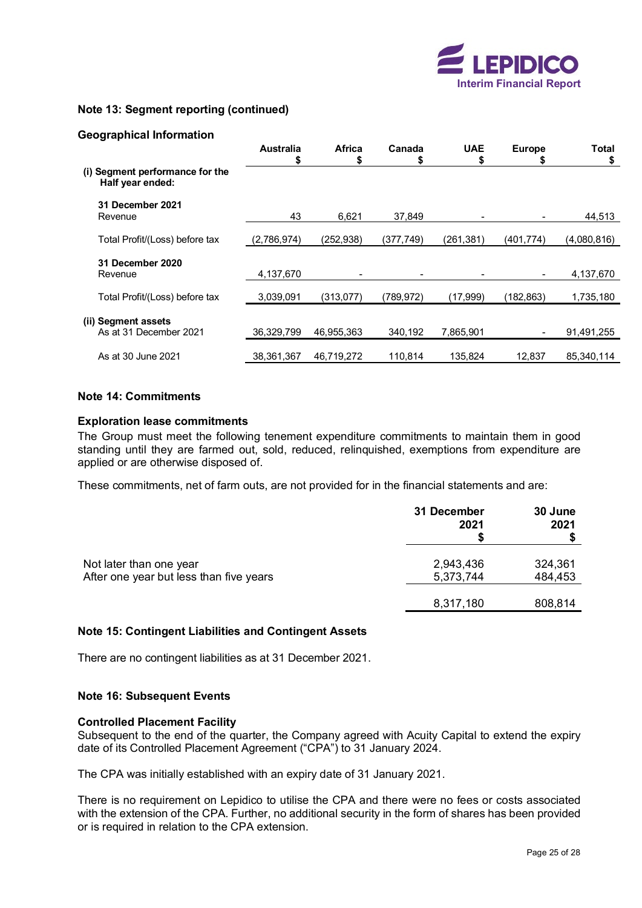

## **Note 13: Segment reporting (continued)**

#### **Geographical Information**

|                                                     | <b>Australia</b><br>S | <b>Africa</b><br>S | Canada<br>S | <b>UAE</b><br>S | <b>Europe</b><br>5 | Total<br>\$ |
|-----------------------------------------------------|-----------------------|--------------------|-------------|-----------------|--------------------|-------------|
| (i) Segment performance for the<br>Half year ended: |                       |                    |             |                 |                    |             |
| 31 December 2021<br>Revenue                         | 43                    | 6,621              | 37.849      |                 |                    | 44,513      |
| Total Profit/(Loss) before tax                      | (2,786,974)           | (252,938)          | (377,749)   | (261, 381)      | (401, 774)         | (4,080,816) |
| 31 December 2020<br>Revenue                         | 4,137,670             |                    |             |                 |                    | 4,137,670   |
| Total Profit/(Loss) before tax                      | 3,039,091             | (313,077)          | (789, 972)  | (17,999)        | (182, 863)         | 1,735,180   |
| (ii) Segment assets<br>As at 31 December 2021       | 36,329,799            | 46,955,363         | 340,192     | 7,865,901       |                    | 91,491,255  |
| As at 30 June 2021                                  | 38.361.367            | 46.719.272         | 110.814     | 135.824         | 12.837             | 85.340.114  |

#### **Note 14: Commitments**

#### **Exploration lease commitments**

The Group must meet the following tenement expenditure commitments to maintain them in good standing until they are farmed out, sold, reduced, relinquished, exemptions from expenditure are applied or are otherwise disposed of.

These commitments, net of farm outs, are not provided for in the financial statements and are:

|                                         | 31 December<br>2021 | 30 June<br>2021 |
|-----------------------------------------|---------------------|-----------------|
| Not later than one year                 | 2,943,436           | 324,361         |
| After one year but less than five years | 5,373,744           | 484,453         |
|                                         | 8,317,180           | 808,814         |

#### **Note 15: Contingent Liabilities and Contingent Assets**

There are no contingent liabilities as at 31 December 2021.

#### **Note 16: Subsequent Events**

#### **Controlled Placement Facility**

Subsequent to the end of the quarter, the Company agreed with Acuity Capital to extend the expiry date of its Controlled Placement Agreement ("CPA") to 31 January 2024.

The CPA was initially established with an expiry date of 31 January 2021.

There is no requirement on Lepidico to utilise the CPA and there were no fees or costs associated with the extension of the CPA. Further, no additional security in the form of shares has been provided or is required in relation to the CPA extension.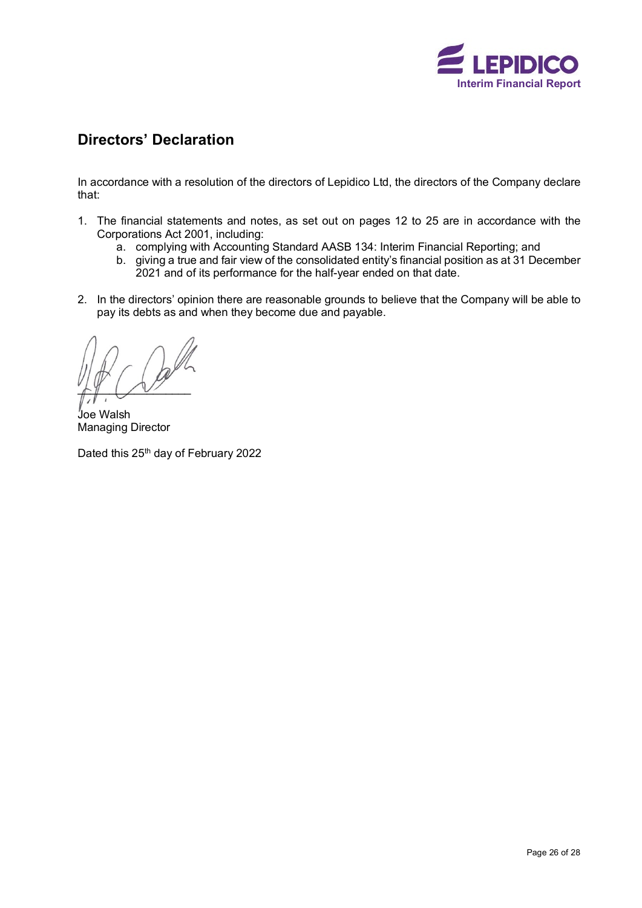

# <span id="page-27-0"></span>**Directors' Declaration**

In accordance with a resolution of the directors of Lepidico Ltd, the directors of the Company declare that:

- 1. The financial statements and notes, as set out on pages 12 to 25 are in accordance with the Corporations Act 2001, including:
	- a. complying with Accounting Standard AASB 134: Interim Financial Reporting; and
	- b. giving a true and fair view of the consolidated entity's financial position as at 31 December 2021 and of its performance for the half-year ended on that date.
- 2. In the directors' opinion there are reasonable grounds to believe that the Company will be able to pay its debts as and when they become due and payable.

 $L_y$ 

Joe Walsh Managing Director

Dated this 25<sup>th</sup> day of February 2022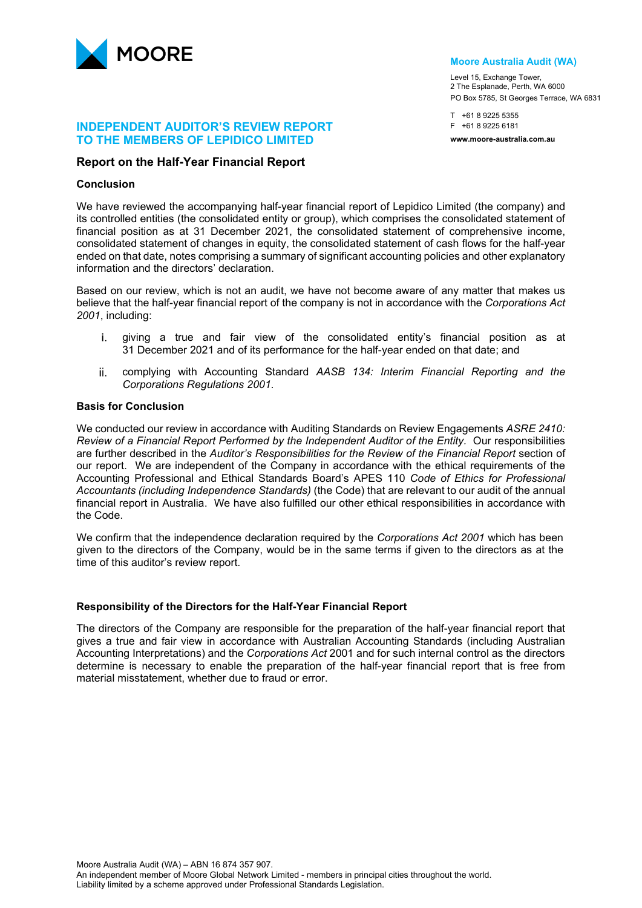

### **INDEPENDENT AUDITOR'S REVIEW REPORT TO THE MEMBERS OF LEPIDICO LIMITED**

#### **Report on the Half-Year Financial Report**

#### **Conclusion**

We have reviewed the accompanying half-year financial report of Lepidico Limited (the company) and its controlled entities (the consolidated entity or group), which comprises the consolidated statement of financial position as at 31 December 2021, the consolidated statement of comprehensive income, consolidated statement of changes in equity, the consolidated statement of cash flows for the half-year ended on that date, notes comprising a summary of significant accounting policies and other explanatory information and the directors' declaration.

Based on our review, which is not an audit, we have not become aware of any matter that makes us believe that the half-year financial report of the company is not in accordance with the *Corporations Act 2001*, including:

- giving a true and fair view of the consolidated entity's financial position as at i. 31 December 2021 and of its performance for the half-year ended on that date; and
- ii. complying with Accounting Standard *AASB 134: Interim Financial Reporting and the Corporations Regulations 2001*.

### **Basis for Conclusion**

We conducted our review in accordance with Auditing Standards on Review Engagements *ASRE 2410: Review of a Financial Report Performed by the Independent Auditor of the Entity.* Our responsibilities are further described in the *Auditor's Responsibilities for the Review of the Financial Report* section of our report. We are independent of the Company in accordance with the ethical requirements of the Accounting Professional and Ethical Standards Board's APES 110 *Code of Ethics for Professional Accountants (including Independence Standards)* (the Code) that are relevant to our audit of the annual financial report in Australia. We have also fulfilled our other ethical responsibilities in accordance with the Code.

We confirm that the independence declaration required by the *Corporations Act 2001* which has been given to the directors of the Company, would be in the same terms if given to the directors as at the time of this auditor's review report.

#### **Responsibility of the Directors for the Half-Year Financial Report**

The directors of the Company are responsible for the preparation of the half-year financial report that gives a true and fair view in accordance with Australian Accounting Standards (including Australian Accounting Interpretations) and the *Corporations Act* 2001 and for such internal control as the directors determine is necessary to enable the preparation of the half-year financial report that is free from material misstatement, whether due to fraud or error.

#### **Moore Australia Audit (WA)**

Level 15, Exchange Tower, 2 The Esplanade, Perth, WA 6000 PO Box 5785, St Georges Terrace, WA 6831

T +61 8 9225 5355 F +61 8 9225 6181 **www.moore-australia.com.au**